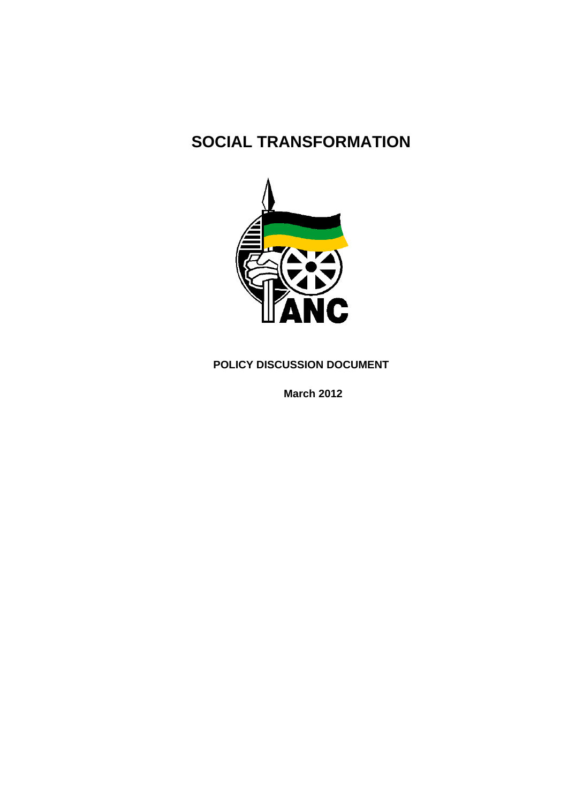# **SOCIAL TRANSFORMATION**



**POLICY DISCUSSION DOCUMENT** 

**March 2012**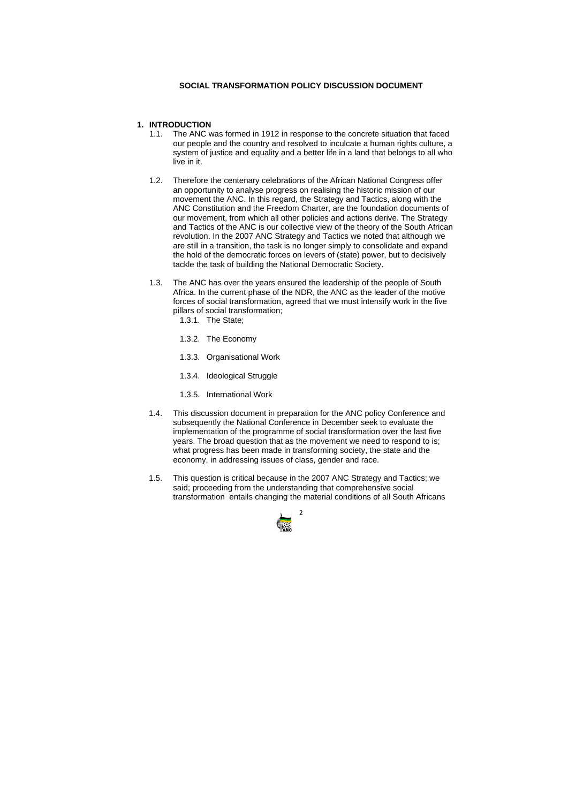

# **SOCIAL TRANSFORMATION POLICY DISCUSSION DOCUMENT**

# **1. INTRODUCTION**

- 1.1. The ANC was formed in 1912 in response to the concrete situation that faced our people and the country and resolved to inculcate a human rights culture, a system of justice and equality and a better life in a land that belongs to all who live in it.
- 1.2. Therefore the centenary celebrations of the African National Congress offer an opportunity to analyse progress on realising the historic mission of our movement the ANC. In this regard, the Strategy and Tactics, along with the ANC Constitution and the Freedom Charter, are the foundation documents of our movement, from which all other policies and actions derive. The Strategy and Tactics of the ANC is our collective view of the theory of the South African revolution. In the 2007 ANC Strategy and Tactics we noted that although we are still in a transition, the task is no longer simply to consolidate and expand the hold of the democratic forces on levers of (state) power, but to decisively tackle the task of building the National Democratic Society.
- 1.3. The ANC has over the years ensured the leadership of the people of South Africa. In the current phase of the NDR, the ANC as the leader of the motive forces of social transformation, agreed that we must intensify work in the five pillars of social transformation;
	- 1.3.1. The State;
	- 1.3.2. The Economy
	- 1.3.3. Organisational Work
	- 1.3.4. Ideological Struggle
	- 1.3.5. International Work
- 1.4. This discussion document in preparation for the ANC policy Conference and subsequently the National Conference in December seek to evaluate the implementation of the programme of social transformation over the last five years. The broad question that as the movement we need to respond to is; what progress has been made in transforming society, the state and the economy, in addressing issues of class, gender and race.
- 1.5. This question is critical because in the 2007 ANC Strategy and Tactics; we said; proceeding from the understanding that comprehensive social transformation entails changing the material conditions of all South Africans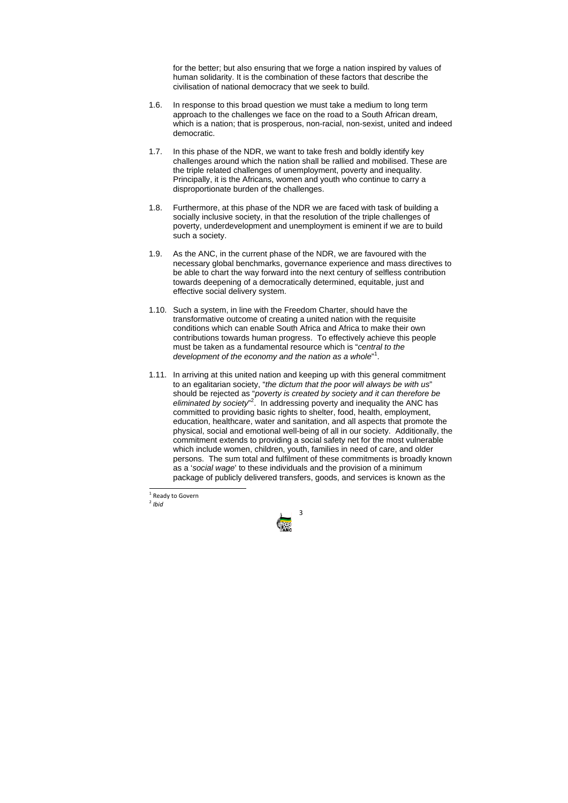

for the better; but also ensuring that we forge a nation inspired by values of human solidarity. It is the combination of these factors that describe the civilisation of national democracy that we seek to build.

- 1.6. In response to this broad question we must take a medium to long term approach to the challenges we face on the road to a South African dream, which is a nation; that is prosperous, non-racial, non-sexist, united and indeed democratic.
- 1.7. In this phase of the NDR, we want to take fresh and boldly identify key challenges around which the nation shall be rallied and mobilised. These are the triple related challenges of unemployment, poverty and inequality. Principally, it is the Africans, women and youth who continue to carry a disproportionate burden of the challenges.
- 1.8. Furthermore, at this phase of the NDR we are faced with task of building a socially inclusive society, in that the resolution of the triple challenges of poverty, underdevelopment and unemployment is eminent if we are to build such a society.
- 1.9. As the ANC, in the current phase of the NDR, we are favoured with the necessary global benchmarks, governance experience and mass directives to be able to chart the way forward into the next century of selfless contribution towards deepening of a democratically determined, equitable, just and effective social delivery system.
- 1.10. Such a system, in line with the Freedom Charter, should have the transformative outcome of creating a united nation with the requisite conditions which can enable South Africa and Africa to make their own contributions towards human progress. To effectively achieve this people must be taken as a fundamental resource which is "*central to the*  development of the economy and the nation as a whole"<sup>1</sup>.
- 1.11. In arriving at this united nation and keeping up with this general commitment to an egalitarian society, "*the dictum that the poor will always be with us*" should be rejected as "*poverty is created by society and it can therefore be*  eliminated by society<sup>"</sup>. In addressing poverty and inequality the ANC has committed to providing basic rights to shelter, food, health, employment, education, healthcare, water and sanitation, and all aspects that promote the physical, social and emotional well-being of all in our society. Additionally, the commitment extends to providing a social safety net for the most vulnerable which include women, children, youth, families in need of care, and older persons. The sum total and fulfilment of these commitments is broadly known as a '*social wage*' to these individuals and the provision of a minimum package of publicly delivered transfers, goods, and services is known as the

<sup>&</sup>lt;sup>1</sup> Ready to Govern <sup>2</sup> *Ihid*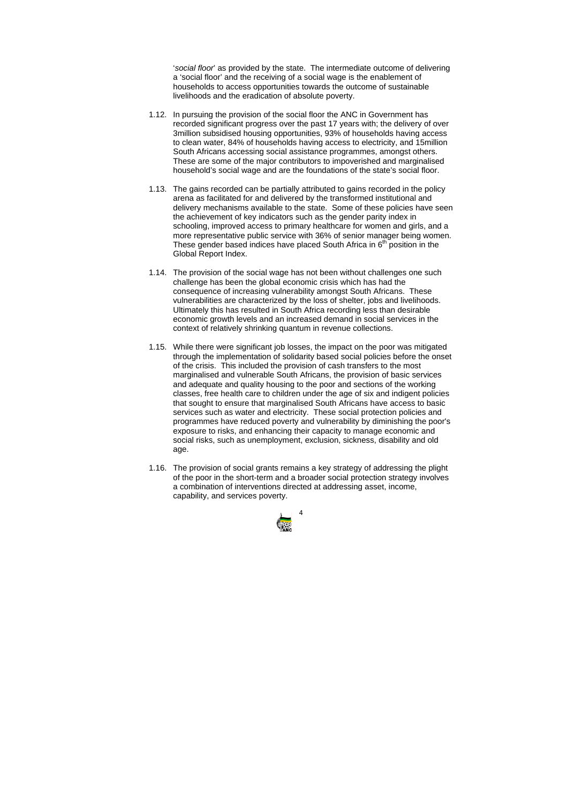

'*social floor*' as provided by the state. The intermediate outcome of delivering a 'social floor' and the receiving of a social wage is the enablement of households to access opportunities towards the outcome of sustainable livelihoods and the eradication of absolute poverty.

- 1.12. In pursuing the provision of the social floor the ANC in Government has recorded significant progress over the past 17 years with; the delivery of over 3million subsidised housing opportunities, 93% of households having access to clean water, 84% of households having access to electricity, and 15million South Africans accessing social assistance programmes, amongst others. These are some of the major contributors to impoverished and marginalised household's social wage and are the foundations of the state's social floor.
- 1.13. The gains recorded can be partially attributed to gains recorded in the policy arena as facilitated for and delivered by the transformed institutional and delivery mechanisms available to the state. Some of these policies have seen the achievement of key indicators such as the gender parity index in schooling, improved access to primary healthcare for women and girls, and a more representative public service with 36% of senior manager being women. These gender based indices have placed South Africa in  $6<sup>th</sup>$  position in the Global Report Index.
- 1.14. The provision of the social wage has not been without challenges one such challenge has been the global economic crisis which has had the consequence of increasing vulnerability amongst South Africans. These vulnerabilities are characterized by the loss of shelter, jobs and livelihoods. Ultimately this has resulted in South Africa recording less than desirable economic growth levels and an increased demand in social services in the context of relatively shrinking quantum in revenue collections.
- 1.15. While there were significant job losses, the impact on the poor was mitigated through the implementation of solidarity based social policies before the onset of the crisis. This included the provision of cash transfers to the most marginalised and vulnerable South Africans, the provision of basic services and adequate and quality housing to the poor and sections of the working classes, free health care to children under the age of six and indigent policies that sought to ensure that marginalised South Africans have access to basic services such as water and electricity. These social protection policies and programmes have reduced poverty and vulnerability by diminishing the poor's exposure to risks, and enhancing their capacity to manage economic and social risks, such as unemployment, exclusion, sickness, disability and old age.
- 1.16. The provision of social grants remains a key strategy of addressing the plight of the poor in the short-term and a broader social protection strategy involves a combination of interventions directed at addressing asset, income, capability, and services poverty.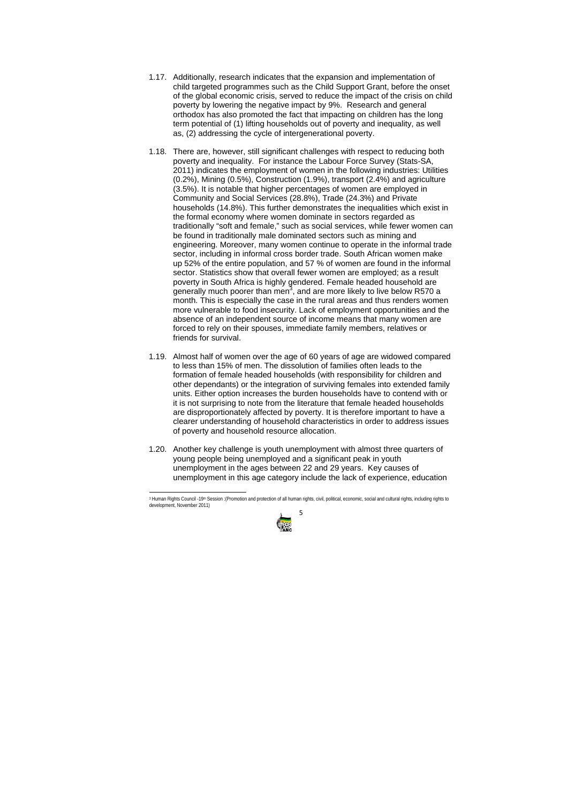- 1.17. Additionally, research indicates that the expansion and implementation of child targeted programmes such as the Child Support Grant, before the onset of the global economic crisis, served to reduce the impact of the crisis on child poverty by lowering the negative impact by 9%. Research and general orthodox has also promoted the fact that impacting on children has the long term potential of (1) lifting households out of poverty and inequality, as well as, (2) addressing the cycle of intergenerational poverty.
- 1.18. There are, however, still significant challenges with respect to reducing both poverty and inequality. For instance the Labour Force Survey (Stats-SA, 2011) indicates the employment of women in the following industries: Utilities (0.2%), Mining (0.5%), Construction (1.9%), transport (2.4%) and agriculture (3.5%). It is notable that higher percentages of women are employed in Community and Social Services (28.8%), Trade (24.3%) and Private households (14.8%). This further demonstrates the inequalities which exist in the formal economy where women dominate in sectors regarded as traditionally "soft and female," such as social services, while fewer women can be found in traditionally male dominated sectors such as mining and engineering. Moreover, many women continue to operate in the informal trade sector, including in informal cross border trade. South African women make up 52% of the entire population, and 57 % of women are found in the informal sector. Statistics show that overall fewer women are employed; as a result poverty in South Africa is highly gendered. Female headed household are generally much poorer than men<sup>3</sup>, and are more likely to live below R570 a month. This is especially the case in the rural areas and thus renders women more vulnerable to food insecurity. Lack of employment opportunities and the absence of an independent source of income means that many women are forced to rely on their spouses, immediate family members, relatives or friends for survival.
- 1.19. Almost half of women over the age of 60 years of age are widowed compared to less than 15% of men. The dissolution of families often leads to the formation of female headed households (with responsibility for children and other dependants) or the integration of surviving females into extended family units. Either option increases the burden households have to contend with or it is not surprising to note from the literature that female headed households are disproportionately affected by poverty. It is therefore important to have a clearer understanding of household characteristics in order to address issues of poverty and household resource allocation.
- 1.20. Another key challenge is youth unemployment with almost three quarters of young people being unemployed and a significant peak in youth unemployment in the ages between 22 and 29 years. Key causes of unemployment in this age category include the lack of experience, education

<sup>5</sup> <sup>3</sup> Human Rights Council -19<sup>th</sup> Session :(Promotion and protection of all human rights, civil, political, economic, social and cultural rights, including rights to development, November 2011)

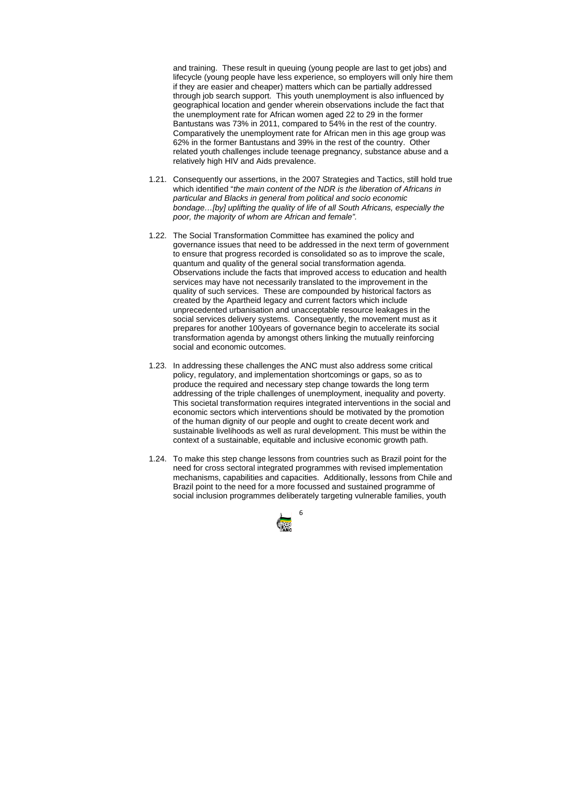

and training. These result in queuing (young people are last to get jobs) and lifecycle (young people have less experience, so employers will only hire them if they are easier and cheaper) matters which can be partially addressed through job search support. This youth unemployment is also influenced by geographical location and gender wherein observations include the fact that the unemployment rate for African women aged 22 to 29 in the former Bantustans was 73% in 2011, compared to 54% in the rest of the country. Comparatively the unemployment rate for African men in this age group was 62% in the former Bantustans and 39% in the rest of the country. Other related youth challenges include teenage pregnancy, substance abuse and a relatively high HIV and Aids prevalence.

- 1.21. Consequently our assertions, in the 2007 Strategies and Tactics, still hold true which identified "*the main content of the NDR is the liberation of Africans in particular and Blacks in general from political and socio economic bondage…[by] uplifting the quality of life of all South Africans, especially the poor, the majority of whom are African and female".*
- 1.22. The Social Transformation Committee has examined the policy and governance issues that need to be addressed in the next term of government to ensure that progress recorded is consolidated so as to improve the scale, quantum and quality of the general social transformation agenda. Observations include the facts that improved access to education and health services may have not necessarily translated to the improvement in the quality of such services. These are compounded by historical factors as created by the Apartheid legacy and current factors which include unprecedented urbanisation and unacceptable resource leakages in the social services delivery systems. Consequently, the movement must as it prepares for another 100years of governance begin to accelerate its social transformation agenda by amongst others linking the mutually reinforcing social and economic outcomes.
- 1.23. In addressing these challenges the ANC must also address some critical policy, regulatory, and implementation shortcomings or gaps, so as to produce the required and necessary step change towards the long term addressing of the triple challenges of unemployment, inequality and poverty. This societal transformation requires integrated interventions in the social and economic sectors which interventions should be motivated by the promotion of the human dignity of our people and ought to create decent work and sustainable livelihoods as well as rural development. This must be within the context of a sustainable, equitable and inclusive economic growth path.
- 1.24. To make this step change lessons from countries such as Brazil point for the need for cross sectoral integrated programmes with revised implementation mechanisms, capabilities and capacities. Additionally, lessons from Chile and Brazil point to the need for a more focussed and sustained programme of social inclusion programmes deliberately targeting vulnerable families, youth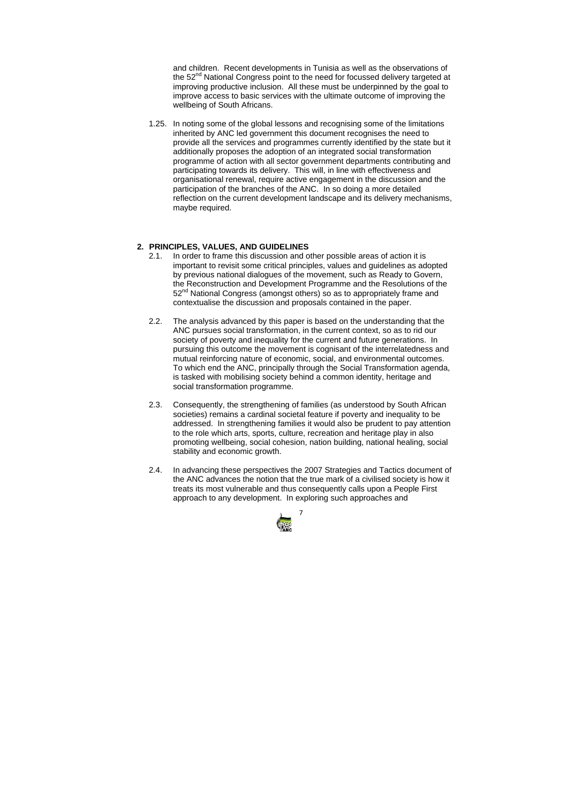

and children. Recent developments in Tunisia as well as the observations of the 52<sup>nd</sup> National Congress point to the need for focussed delivery targeted at improving productive inclusion. All these must be underpinned by the goal to improve access to basic services with the ultimate outcome of improving the wellbeing of South Africans.

1.25. In noting some of the global lessons and recognising some of the limitations inherited by ANC led government this document recognises the need to provide all the services and programmes currently identified by the state but it additionally proposes the adoption of an integrated social transformation programme of action with all sector government departments contributing and participating towards its delivery. This will, in line with effectiveness and organisational renewal, require active engagement in the discussion and the participation of the branches of the ANC. In so doing a more detailed reflection on the current development landscape and its delivery mechanisms, maybe required.

# **2. PRINCIPLES, VALUES, AND GUIDELINES**

- 2.1. In order to frame this discussion and other possible areas of action it is important to revisit some critical principles, values and guidelines as adopted by previous national dialogues of the movement, such as Ready to Govern, the Reconstruction and Development Programme and the Resolutions of the 52<sup>nd</sup> National Congress (amongst others) so as to appropriately frame and contextualise the discussion and proposals contained in the paper.
- 2.2. The analysis advanced by this paper is based on the understanding that the ANC pursues social transformation, in the current context, so as to rid our society of poverty and inequality for the current and future generations. In pursuing this outcome the movement is cognisant of the interrelatedness and mutual reinforcing nature of economic, social, and environmental outcomes. To which end the ANC, principally through the Social Transformation agenda, is tasked with mobilising society behind a common identity, heritage and social transformation programme.
- 2.3. Consequently, the strengthening of families (as understood by South African societies) remains a cardinal societal feature if poverty and inequality to be addressed. In strengthening families it would also be prudent to pay attention to the role which arts, sports, culture, recreation and heritage play in also promoting wellbeing, social cohesion, nation building, national healing, social stability and economic growth.
- 2.4. In advancing these perspectives the 2007 Strategies and Tactics document of the ANC advances the notion that the true mark of a civilised society is how it treats its most vulnerable and thus consequently calls upon a People First approach to any development. In exploring such approaches and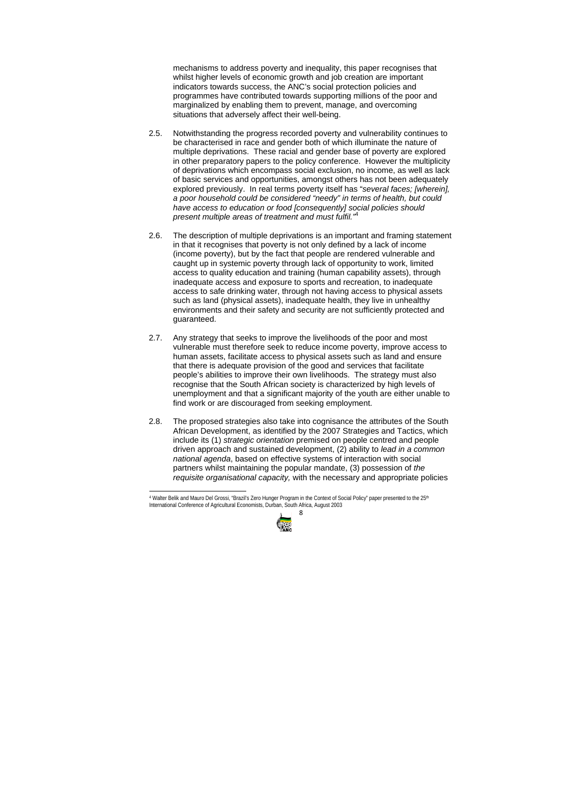8

mechanisms to address poverty and inequality, this paper recognises that whilst higher levels of economic growth and job creation are important indicators towards success, the ANC's social protection policies and programmes have contributed towards supporting millions of the poor and marginalized by enabling them to prevent, manage, and overcoming situations that adversely affect their well-being.

- 2.5. Notwithstanding the progress recorded poverty and vulnerability continues to be characterised in race and gender both of which illuminate the nature of multiple deprivations. These racial and gender base of poverty are explored in other preparatory papers to the policy conference. However the multiplicity of deprivations which encompass social exclusion, no income, as well as lack of basic services and opportunities, amongst others has not been adequately explored previously. In real terms poverty itself has "*several faces; [wherein], a poor household could be considered "needy" in terms of health, but could have access to education or food [consequently] social policies should present multiple areas of treatment and must fulfil."*<sup>4</sup>
- 2.6. The description of multiple deprivations is an important and framing statement in that it recognises that poverty is not only defined by a lack of income (income poverty), but by the fact that people are rendered vulnerable and caught up in systemic poverty through lack of opportunity to work, limited access to quality education and training (human capability assets), through inadequate access and exposure to sports and recreation, to inadequate access to safe drinking water, through not having access to physical assets such as land (physical assets), inadequate health, they live in unhealthy environments and their safety and security are not sufficiently protected and guaranteed.
- 2.7. Any strategy that seeks to improve the livelihoods of the poor and most vulnerable must therefore seek to reduce income poverty, improve access to human assets, facilitate access to physical assets such as land and ensure that there is adequate provision of the good and services that facilitate people's abilities to improve their own livelihoods. The strategy must also recognise that the South African society is characterized by high levels of unemployment and that a significant majority of the youth are either unable to find work or are discouraged from seeking employment.
- 2.8. The proposed strategies also take into cognisance the attributes of the South African Development, as identified by the 2007 Strategies and Tactics, which include its (1) *strategic orientation* premised on people centred and people driven approach and sustained development, (2) ability to *lead in a common national agenda*, based on effective systems of interaction with social partners whilst maintaining the popular mandate, (3) possession of *the requisite organisational capacity,* with the necessary and appropriate policies

<sup>4</sup> Walter Belik and Mauro Del Grossi, "Brazil's Zero Hunger Program in the Context of Social Policy" paper presented to the 25th International Conference of Agricultural Economists, Durban, South Africa, August 2003

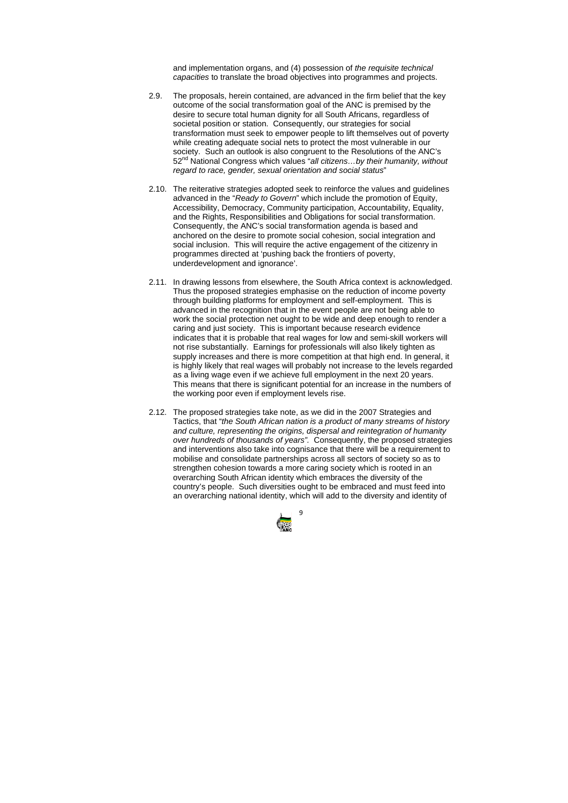

and implementation organs, and (4) possession of *the requisite technical capacities* to translate the broad objectives into programmes and projects.

- 2.9. The proposals, herein contained, are advanced in the firm belief that the key outcome of the social transformation goal of the ANC is premised by the desire to secure total human dignity for all South Africans, regardless of societal position or station. Consequently, our strategies for social transformation must seek to empower people to lift themselves out of poverty while creating adequate social nets to protect the most vulnerable in our society. Such an outlook is also congruent to the Resolutions of the ANC's 52nd National Congress which values "*all citizens…by their humanity, without regard to race, gender, sexual orientation and social status*"
- 2.10. The reiterative strategies adopted seek to reinforce the values and guidelines advanced in the "*Ready to Govern*" which include the promotion of Equity, Accessibility, Democracy, Community participation, Accountability, Equality, and the Rights, Responsibilities and Obligations for social transformation. Consequently, the ANC's social transformation agenda is based and anchored on the desire to promote social cohesion, social integration and social inclusion. This will require the active engagement of the citizenry in programmes directed at 'pushing back the frontiers of poverty, underdevelopment and ignorance'.
- 2.11. In drawing lessons from elsewhere, the South Africa context is acknowledged. Thus the proposed strategies emphasise on the reduction of income poverty through building platforms for employment and self-employment. This is advanced in the recognition that in the event people are not being able to work the social protection net ought to be wide and deep enough to render a caring and just society. This is important because research evidence indicates that it is probable that real wages for low and semi-skill workers will not rise substantially. Earnings for professionals will also likely tighten as supply increases and there is more competition at that high end. In general, it is highly likely that real wages will probably not increase to the levels regarded as a living wage even if we achieve full employment in the next 20 years. This means that there is significant potential for an increase in the numbers of the working poor even if employment levels rise.
- 2.12. The proposed strategies take note, as we did in the 2007 Strategies and Tactics, that "*the South African nation is a product of many streams of history and culture, representing the origins, dispersal and reintegration of humanity over hundreds of thousands of years".* Consequently, the proposed strategies and interventions also take into cognisance that there will be a requirement to mobilise and consolidate partnerships across all sectors of society so as to strengthen cohesion towards a more caring society which is rooted in an overarching South African identity which embraces the diversity of the country's people. Such diversities ought to be embraced and must feed into an overarching national identity, which will add to the diversity and identity of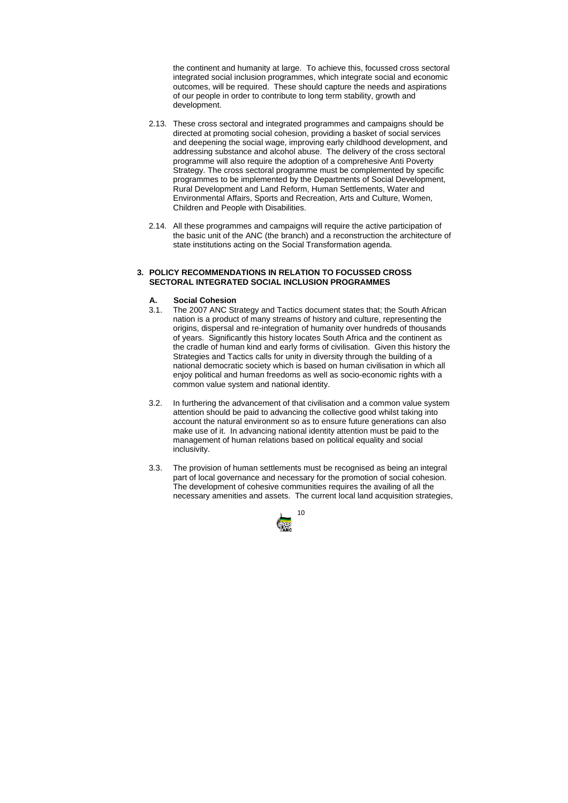

the continent and humanity at large. To achieve this, focussed cross sectoral integrated social inclusion programmes, which integrate social and economic outcomes, will be required. These should capture the needs and aspirations of our people in order to contribute to long term stability, growth and development.

- 2.13. These cross sectoral and integrated programmes and campaigns should be directed at promoting social cohesion, providing a basket of social services and deepening the social wage, improving early childhood development, and addressing substance and alcohol abuse. The delivery of the cross sectoral programme will also require the adoption of a comprehesive Anti Poverty Strategy. The cross sectoral programme must be complemented by specific programmes to be implemented by the Departments of Social Development, Rural Development and Land Reform, Human Settlements, Water and Environmental Affairs, Sports and Recreation, Arts and Culture, Women, Children and People with Disabilities.
- 2.14. All these programmes and campaigns will require the active participation of the basic unit of the ANC (the branch) and a reconstruction the architecture of state institutions acting on the Social Transformation agenda.

# **3. POLICY RECOMMENDATIONS IN RELATION TO FOCUSSED CROSS SECTORAL INTEGRATED SOCIAL INCLUSION PROGRAMMES**

# **A. Social Cohesion**

- 3.1. The 2007 ANC Strategy and Tactics document states that; the South African nation is a product of many streams of history and culture, representing the origins, dispersal and re-integration of humanity over hundreds of thousands of years. Significantly this history locates South Africa and the continent as the cradle of human kind and early forms of civilisation. Given this history the Strategies and Tactics calls for unity in diversity through the building of a national democratic society which is based on human civilisation in which all enjoy political and human freedoms as well as socio-economic rights with a common value system and national identity.
- 3.2. In furthering the advancement of that civilisation and a common value system attention should be paid to advancing the collective good whilst taking into account the natural environment so as to ensure future generations can also make use of it. In advancing national identity attention must be paid to the management of human relations based on political equality and social inclusivity.
- 3.3. The provision of human settlements must be recognised as being an integral part of local governance and necessary for the promotion of social cohesion. The development of cohesive communities requires the availing of all the necessary amenities and assets. The current local land acquisition strategies,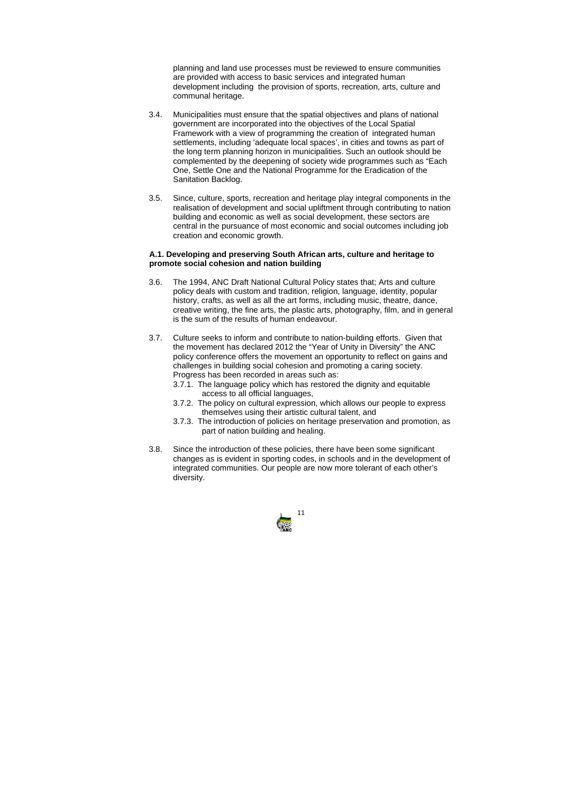

planning and land use processes must be reviewed to ensure communities are provided with access to basic services and integrated human development including the provision of sports, recreation, arts, culture and communal heritage.

- 3.4. Municipalities must ensure that the spatial objectives and plans of national government are incorporated into the objectives of the Local Spatial Framework with a view of programming the creation of integrated human settlements, including 'adequate local spaces', in cities and towns as part of the long term planning horizon in municipalities. Such an outlook should be complemented by the deepening of society wide programmes such as "Each One, Settle One and the National Programme for the Eradication of the Sanitation Backlog.
- 3.5. Since, culture, sports, recreation and heritage play integral components in the realisation of development and social upliftment through contributing to nation building and economic as well as social development, these sectors are central in the pursuance of most economic and social outcomes including job creation and economic growth.

# **A.1. Developing and preserving South African arts, culture and heritage to promote social cohesion and nation building**

- 3.6. The 1994, ANC Draft National Cultural Policy states that; Arts and culture policy deals with custom and tradition, religion, language, identity, popular history, crafts, as well as all the art forms, including music, theatre, dance, creative writing, the fine arts, the plastic arts, photography, film, and in general is the sum of the results of human endeavour.
- 3.7. Culture seeks to inform and contribute to nation-building efforts. Given that the movement has declared 2012 the "Year of Unity in Diversity" the ANC policy conference offers the movement an opportunity to reflect on gains and challenges in building social cohesion and promoting a caring society. Progress has been recorded in areas such as:
	- 3.7.1. The language policy which has restored the dignity and equitable access to all official languages,
	- 3.7.2. The policy on cultural expression, which allows our people to express themselves using their artistic cultural talent, and
	- 3.7.3. The introduction of policies on heritage preservation and promotion, as part of nation building and healing.
- 3.8. Since the introduction of these policies, there have been some significant changes as is evident in sporting codes, in schools and in the development of integrated communities. Our people are now more tolerant of each other's diversity.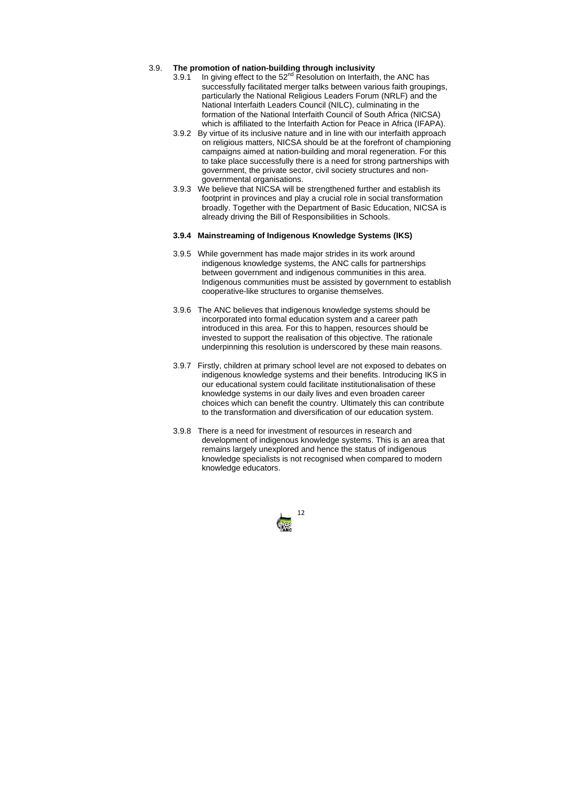

# 3.9. **The promotion of nation-building through inclusivity**

- 3.9.1 In giving effect to the  $52<sup>nd</sup>$  Resolution on Interfaith, the ANC has successfully facilitated merger talks between various faith groupings, particularly the National Religious Leaders Forum (NRLF) and the National Interfaith Leaders Council (NILC), culminating in the formation of the National Interfaith Council of South Africa (NICSA) which is affiliated to the Interfaith Action for Peace in Africa (IFAPA).
- 3.9.2 By virtue of its inclusive nature and in line with our interfaith approach on religious matters, NICSA should be at the forefront of championing campaigns aimed at nation-building and moral regeneration. For this to take place successfully there is a need for strong partnerships with government, the private sector, civil society structures and nongovernmental organisations.
- 3.9.3 We believe that NICSA will be strengthened further and establish its footprint in provinces and play a crucial role in social transformation broadly. Together with the Department of Basic Education, NICSA is already driving the Bill of Responsibilities in Schools.

# **3.9.4 Mainstreaming of Indigenous Knowledge Systems (IKS)**

- 3.9.5 While government has made major strides in its work around indigenous knowledge systems, the ANC calls for partnerships between government and indigenous communities in this area. Indigenous communities must be assisted by government to establish cooperative-like structures to organise themselves.
- 3.9.6 The ANC believes that indigenous knowledge systems should be incorporated into formal education system and a career path introduced in this area. For this to happen, resources should be invested to support the realisation of this objective. The rationale underpinning this resolution is underscored by these main reasons.
- 3.9.7 Firstly, children at primary school level are not exposed to debates on indigenous knowledge systems and their benefits. Introducing IKS in our educational system could facilitate institutionalisation of these knowledge systems in our daily lives and even broaden career choices which can benefit the country. Ultimately this can contribute to the transformation and diversification of our education system.
- 3.9.8 There is a need for investment of resources in research and development of indigenous knowledge systems. This is an area that remains largely unexplored and hence the status of indigenous knowledge specialists is not recognised when compared to modern knowledge educators.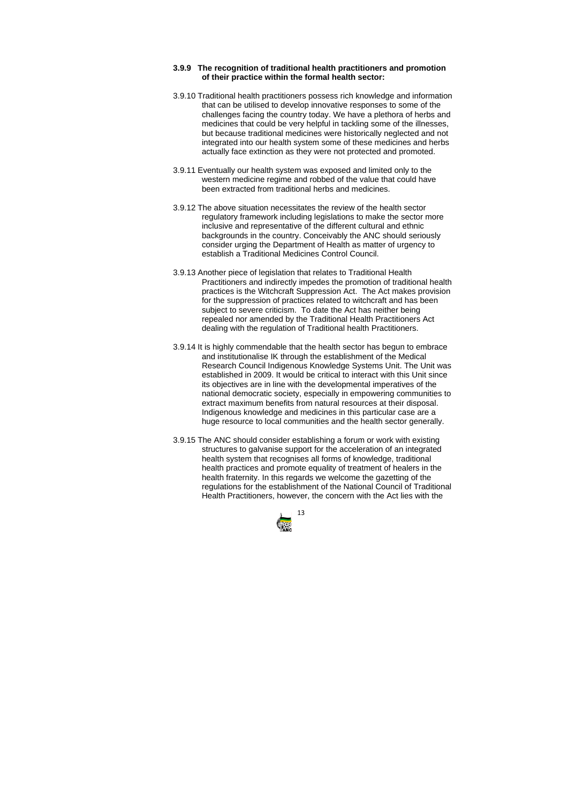

## **3.9.9 The recognition of traditional health practitioners and promotion of their practice within the formal health sector:**

- 3.9.10 Traditional health practitioners possess rich knowledge and information that can be utilised to develop innovative responses to some of the challenges facing the country today. We have a plethora of herbs and medicines that could be very helpful in tackling some of the illnesses, but because traditional medicines were historically neglected and not integrated into our health system some of these medicines and herbs actually face extinction as they were not protected and promoted.
- 3.9.11 Eventually our health system was exposed and limited only to the western medicine regime and robbed of the value that could have been extracted from traditional herbs and medicines.
- 3.9.12 The above situation necessitates the review of the health sector regulatory framework including legislations to make the sector more inclusive and representative of the different cultural and ethnic backgrounds in the country. Conceivably the ANC should seriously consider urging the Department of Health as matter of urgency to establish a Traditional Medicines Control Council.
- 3.9.13 Another piece of legislation that relates to Traditional Health Practitioners and indirectly impedes the promotion of traditional health practices is the Witchcraft Suppression Act. The Act makes provision for the suppression of practices related to witchcraft and has been subject to severe criticism. To date the Act has neither being repealed nor amended by the Traditional Health Practitioners Act dealing with the regulation of Traditional health Practitioners.
- 3.9.14 It is highly commendable that the health sector has begun to embrace and institutionalise IK through the establishment of the Medical Research Council Indigenous Knowledge Systems Unit. The Unit was established in 2009. It would be critical to interact with this Unit since its objectives are in line with the developmental imperatives of the national democratic society, especially in empowering communities to extract maximum benefits from natural resources at their disposal. Indigenous knowledge and medicines in this particular case are a huge resource to local communities and the health sector generally.
- 3.9.15 The ANC should consider establishing a forum or work with existing structures to galvanise support for the acceleration of an integrated health system that recognises all forms of knowledge, traditional health practices and promote equality of treatment of healers in the health fraternity. In this regards we welcome the gazetting of the regulations for the establishment of the National Council of Traditional Health Practitioners, however, the concern with the Act lies with the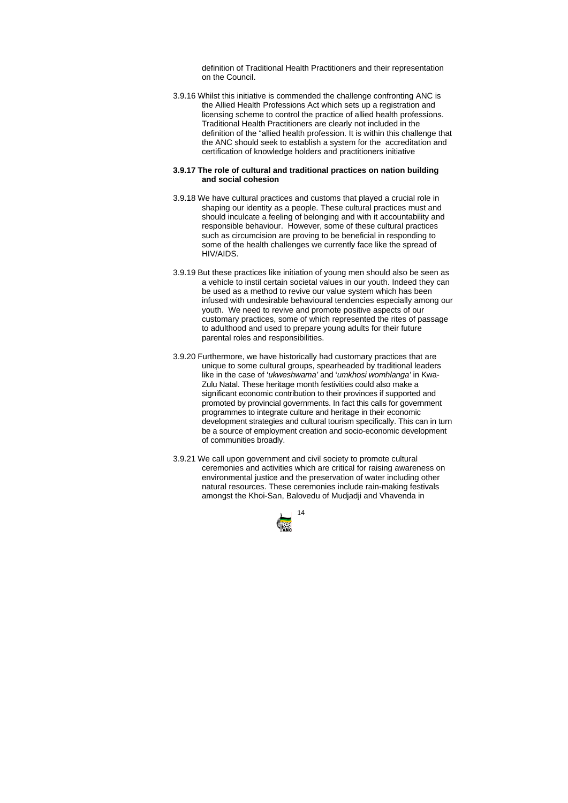

definition of Traditional Health Practitioners and their representation on the Council.

3.9.16 Whilst this initiative is commended the challenge confronting ANC is the Allied Health Professions Act which sets up a registration and licensing scheme to control the practice of allied health professions. Traditional Health Practitioners are clearly not included in the definition of the "allied health profession. It is within this challenge that the ANC should seek to establish a system for the accreditation and certification of knowledge holders and practitioners initiative

# **3.9.17 The role of cultural and traditional practices on nation building and social cohesion**

- 3.9.18 We have cultural practices and customs that played a crucial role in shaping our identity as a people. These cultural practices must and should inculcate a feeling of belonging and with it accountability and responsible behaviour. However, some of these cultural practices such as circumcision are proving to be beneficial in responding to some of the health challenges we currently face like the spread of HIV/AIDS.
- 3.9.19 But these practices like initiation of young men should also be seen as a vehicle to instil certain societal values in our youth. Indeed they can be used as a method to revive our value system which has been infused with undesirable behavioural tendencies especially among our youth. We need to revive and promote positive aspects of our customary practices, some of which represented the rites of passage to adulthood and used to prepare young adults for their future parental roles and responsibilities.
- 3.9.20 Furthermore, we have historically had customary practices that are unique to some cultural groups, spearheaded by traditional leaders like in the case of '*ukweshwama'* and '*umkhosi womhlanga'* in Kwa-Zulu Natal. These heritage month festivities could also make a significant economic contribution to their provinces if supported and promoted by provincial governments. In fact this calls for government programmes to integrate culture and heritage in their economic development strategies and cultural tourism specifically. This can in turn be a source of employment creation and socio-economic development of communities broadly.
- 3.9.21 We call upon government and civil society to promote cultural ceremonies and activities which are critical for raising awareness on environmental justice and the preservation of water including other natural resources. These ceremonies include rain-making festivals amongst the Khoi-San, Balovedu of Mudjadji and Vhavenda in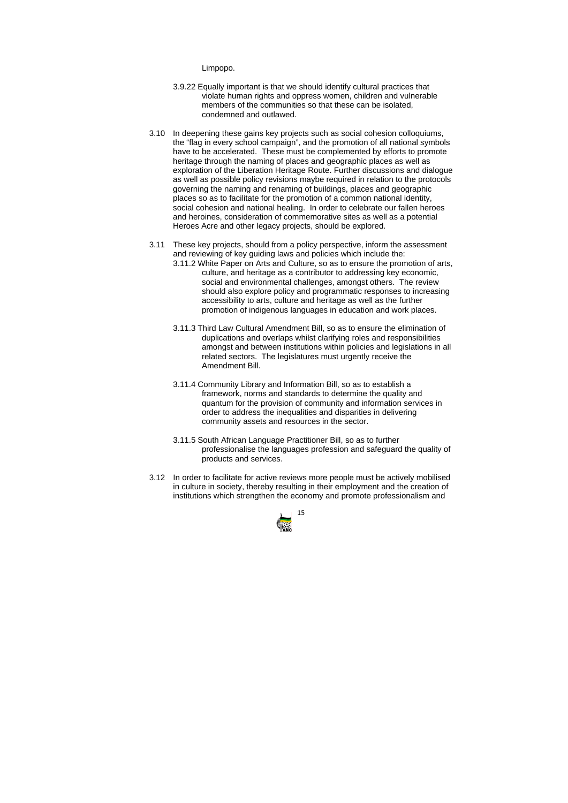

Limpopo.

- 3.9.22 Equally important is that we should identify cultural practices that violate human rights and oppress women, children and vulnerable members of the communities so that these can be isolated, condemned and outlawed.
- 3.10 In deepening these gains key projects such as social cohesion colloquiums, the "flag in every school campaign", and the promotion of all national symbols have to be accelerated. These must be complemented by efforts to promote heritage through the naming of places and geographic places as well as exploration of the Liberation Heritage Route. Further discussions and dialogue as well as possible policy revisions maybe required in relation to the protocols governing the naming and renaming of buildings, places and geographic places so as to facilitate for the promotion of a common national identity, social cohesion and national healing. In order to celebrate our fallen heroes and heroines, consideration of commemorative sites as well as a potential Heroes Acre and other legacy projects, should be explored.
- 3.11 These key projects, should from a policy perspective, inform the assessment and reviewing of key guiding laws and policies which include the:
	- 3.11.2 White Paper on Arts and Culture, so as to ensure the promotion of arts, culture, and heritage as a contributor to addressing key economic, social and environmental challenges, amongst others. The review should also explore policy and programmatic responses to increasing accessibility to arts, culture and heritage as well as the further promotion of indigenous languages in education and work places.
	- 3.11.3 Third Law Cultural Amendment Bill, so as to ensure the elimination of duplications and overlaps whilst clarifying roles and responsibilities amongst and between institutions within policies and legislations in all related sectors. The legislatures must urgently receive the Amendment Bill.
	- 3.11.4 Community Library and Information Bill, so as to establish a framework, norms and standards to determine the quality and quantum for the provision of community and information services in order to address the inequalities and disparities in delivering community assets and resources in the sector.
	- 3.11.5 South African Language Practitioner Bill, so as to further professionalise the languages profession and safeguard the quality of products and services.
- 3.12 In order to facilitate for active reviews more people must be actively mobilised in culture in society, thereby resulting in their employment and the creation of institutions which strengthen the economy and promote professionalism and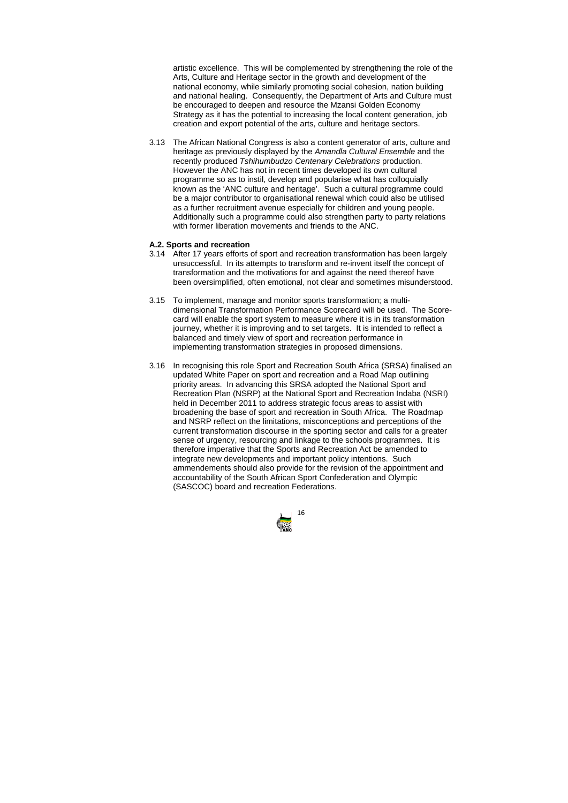

artistic excellence. This will be complemented by strengthening the role of the Arts, Culture and Heritage sector in the growth and development of the national economy, while similarly promoting social cohesion, nation building and national healing. Consequently, the Department of Arts and Culture must be encouraged to deepen and resource the Mzansi Golden Economy Strategy as it has the potential to increasing the local content generation, job creation and export potential of the arts, culture and heritage sectors.

3.13 The African National Congress is also a content generator of arts, culture and heritage as previously displayed by the *Amandla Cultural Ensemble* and the recently produced *Tshihumbudzo Centenary Celebrations* production. However the ANC has not in recent times developed its own cultural programme so as to instil, develop and popularise what has colloquially known as the 'ANC culture and heritage'. Such a cultural programme could be a major contributor to organisational renewal which could also be utilised as a further recruitment avenue especially for children and young people. Additionally such a programme could also strengthen party to party relations with former liberation movements and friends to the ANC.

#### **A.2. Sports and recreation**

- 3.14 After 17 years efforts of sport and recreation transformation has been largely unsuccessful. In its attempts to transform and re-invent itself the concept of transformation and the motivations for and against the need thereof have been oversimplified, often emotional, not clear and sometimes misunderstood.
- 3.15 To implement, manage and monitor sports transformation; a multidimensional Transformation Performance Scorecard will be used. The Scorecard will enable the sport system to measure where it is in its transformation journey, whether it is improving and to set targets. It is intended to reflect a balanced and timely view of sport and recreation performance in implementing transformation strategies in proposed dimensions.
- 3.16 In recognising this role Sport and Recreation South Africa (SRSA) finalised an updated White Paper on sport and recreation and a Road Map outlining priority areas. In advancing this SRSA adopted the National Sport and Recreation Plan (NSRP) at the National Sport and Recreation Indaba (NSRI) held in December 2011 to address strategic focus areas to assist with broadening the base of sport and recreation in South Africa. The Roadmap and NSRP reflect on the limitations, misconceptions and perceptions of the current transformation discourse in the sporting sector and calls for a greater sense of urgency, resourcing and linkage to the schools programmes. It is therefore imperative that the Sports and Recreation Act be amended to integrate new developments and important policy intentions. Such ammendements should also provide for the revision of the appointment and accountability of the South African Sport Confederation and Olympic (SASCOC) board and recreation Federations.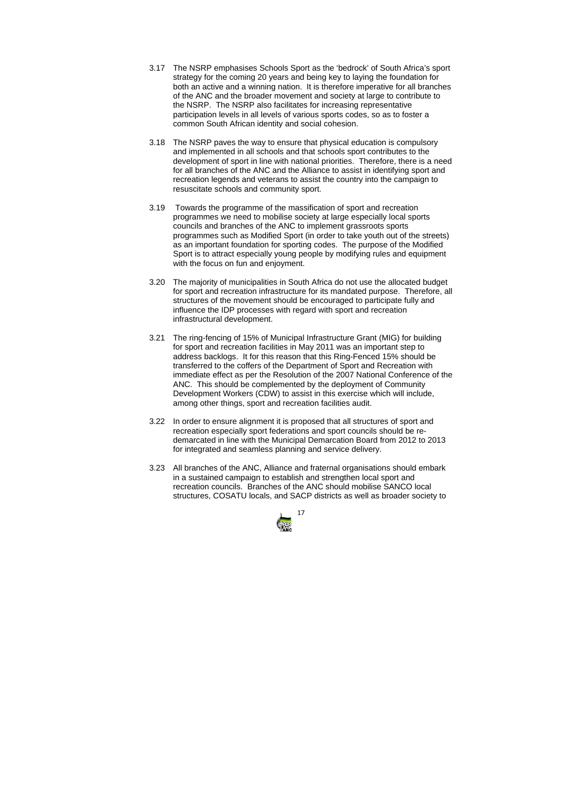

- 3.17 The NSRP emphasises Schools Sport as the 'bedrock' of South Africa's sport strategy for the coming 20 years and being key to laying the foundation for both an active and a winning nation. It is therefore imperative for all branches of the ANC and the broader movement and society at large to contribute to the NSRP. The NSRP also facilitates for increasing representative participation levels in all levels of various sports codes, so as to foster a common South African identity and social cohesion.
- 3.18 The NSRP paves the way to ensure that physical education is compulsory and implemented in all schools and that schools sport contributes to the development of sport in line with national priorities. Therefore, there is a need for all branches of the ANC and the Alliance to assist in identifying sport and recreation legends and veterans to assist the country into the campaign to resuscitate schools and community sport.
- 3.19 Towards the programme of the massification of sport and recreation programmes we need to mobilise society at large especially local sports councils and branches of the ANC to implement grassroots sports programmes such as Modified Sport (in order to take youth out of the streets) as an important foundation for sporting codes. The purpose of the Modified Sport is to attract especially young people by modifying rules and equipment with the focus on fun and enjoyment.
- 3.20 The majority of municipalities in South Africa do not use the allocated budget for sport and recreation infrastructure for its mandated purpose. Therefore, all structures of the movement should be encouraged to participate fully and influence the IDP processes with regard with sport and recreation infrastructural development.
- 3.21 The ring-fencing of 15% of Municipal Infrastructure Grant (MIG) for building for sport and recreation facilities in May 2011 was an important step to address backlogs. It for this reason that this Ring-Fenced 15% should be transferred to the coffers of the Department of Sport and Recreation with immediate effect as per the Resolution of the 2007 National Conference of the ANC. This should be complemented by the deployment of Community Development Workers (CDW) to assist in this exercise which will include, among other things, sport and recreation facilities audit.
- 3.22 In order to ensure alignment it is proposed that all structures of sport and recreation especially sport federations and sport councils should be redemarcated in line with the Municipal Demarcation Board from 2012 to 2013 for integrated and seamless planning and service delivery.
- 3.23 All branches of the ANC, Alliance and fraternal organisations should embark in a sustained campaign to establish and strengthen local sport and recreation councils. Branches of the ANC should mobilise SANCO local structures, COSATU locals, and SACP districts as well as broader society to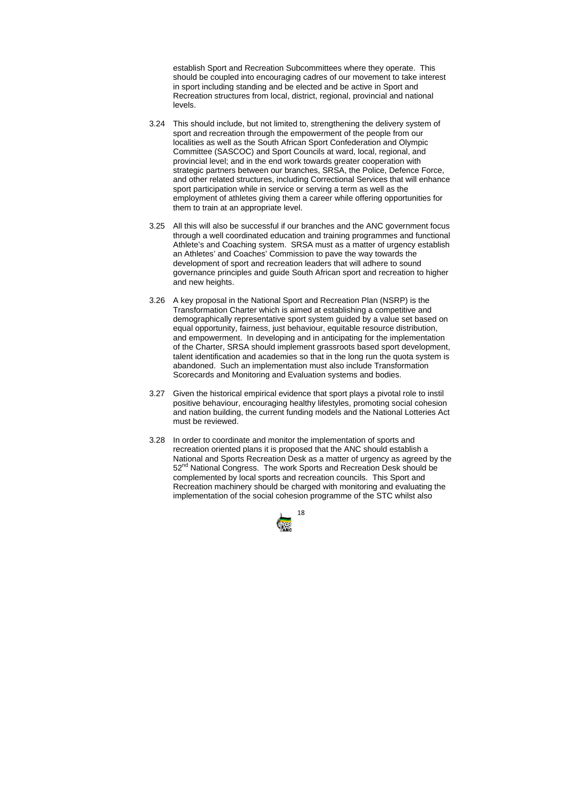

establish Sport and Recreation Subcommittees where they operate. This should be coupled into encouraging cadres of our movement to take interest in sport including standing and be elected and be active in Sport and Recreation structures from local, district, regional, provincial and national levels.

- 3.24 This should include, but not limited to, strengthening the delivery system of sport and recreation through the empowerment of the people from our localities as well as the South African Sport Confederation and Olympic Committee (SASCOC) and Sport Councils at ward, local, regional, and provincial level; and in the end work towards greater cooperation with strategic partners between our branches, SRSA, the Police, Defence Force, and other related structures, including Correctional Services that will enhance sport participation while in service or serving a term as well as the employment of athletes giving them a career while offering opportunities for them to train at an appropriate level.
- 3.25 All this will also be successful if our branches and the ANC government focus through a well coordinated education and training programmes and functional Athlete's and Coaching system. SRSA must as a matter of urgency establish an Athletes' and Coaches' Commission to pave the way towards the development of sport and recreation leaders that will adhere to sound governance principles and guide South African sport and recreation to higher and new heights.
- 3.26 A key proposal in the National Sport and Recreation Plan (NSRP) is the Transformation Charter which is aimed at establishing a competitive and demographically representative sport system guided by a value set based on equal opportunity, fairness, just behaviour, equitable resource distribution, and empowerment. In developing and in anticipating for the implementation of the Charter, SRSA should implement grassroots based sport development, talent identification and academies so that in the long run the quota system is abandoned. Such an implementation must also include Transformation Scorecards and Monitoring and Evaluation systems and bodies.
- 3.27 Given the historical empirical evidence that sport plays a pivotal role to instil positive behaviour, encouraging healthy lifestyles, promoting social cohesion and nation building, the current funding models and the National Lotteries Act must be reviewed.
- 3.28 In order to coordinate and monitor the implementation of sports and recreation oriented plans it is proposed that the ANC should establish a National and Sports Recreation Desk as a matter of urgency as agreed by the 52<sup>nd</sup> National Congress. The work Sports and Recreation Desk should be complemented by local sports and recreation councils. This Sport and Recreation machinery should be charged with monitoring and evaluating the implementation of the social cohesion programme of the STC whilst also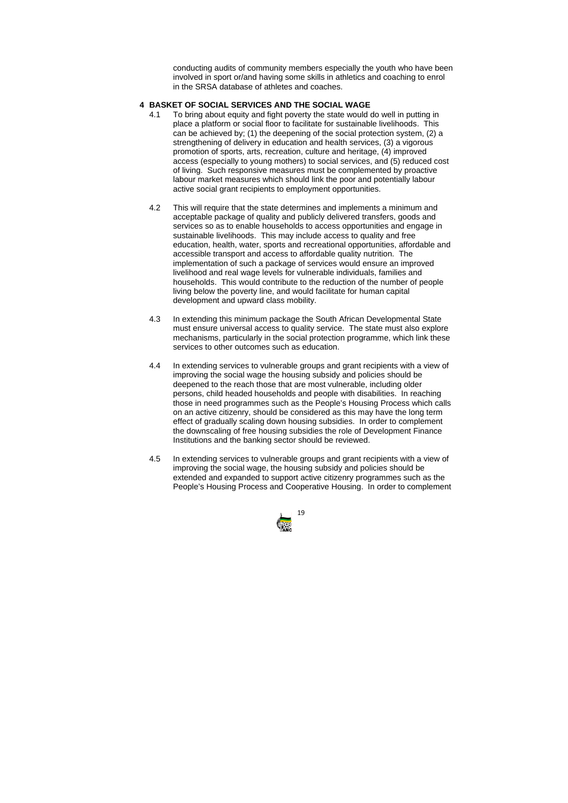

conducting audits of community members especially the youth who have been involved in sport or/and having some skills in athletics and coaching to enrol in the SRSA database of athletes and coaches.

# **4 BASKET OF SOCIAL SERVICES AND THE SOCIAL WAGE**

- 4.1 To bring about equity and fight poverty the state would do well in putting in place a platform or social floor to facilitate for sustainable livelihoods. This can be achieved by; (1) the deepening of the social protection system, (2) a strengthening of delivery in education and health services, (3) a vigorous promotion of sports, arts, recreation, culture and heritage, (4) improved access (especially to young mothers) to social services, and (5) reduced cost of living. Such responsive measures must be complemented by proactive labour market measures which should link the poor and potentially labour active social grant recipients to employment opportunities.
- 4.2 This will require that the state determines and implements a minimum and acceptable package of quality and publicly delivered transfers, goods and services so as to enable households to access opportunities and engage in sustainable livelihoods. This may include access to quality and free education, health, water, sports and recreational opportunities, affordable and accessible transport and access to affordable quality nutrition. The implementation of such a package of services would ensure an improved livelihood and real wage levels for vulnerable individuals, families and households. This would contribute to the reduction of the number of people living below the poverty line, and would facilitate for human capital development and upward class mobility.
- 4.3 In extending this minimum package the South African Developmental State must ensure universal access to quality service. The state must also explore mechanisms, particularly in the social protection programme, which link these services to other outcomes such as education.
- 4.4 In extending services to vulnerable groups and grant recipients with a view of improving the social wage the housing subsidy and policies should be deepened to the reach those that are most vulnerable, including older persons, child headed households and people with disabilities. In reaching those in need programmes such as the People's Housing Process which calls on an active citizenry, should be considered as this may have the long term effect of gradually scaling down housing subsidies. In order to complement the downscaling of free housing subsidies the role of Development Finance Institutions and the banking sector should be reviewed.
- 4.5 In extending services to vulnerable groups and grant recipients with a view of improving the social wage, the housing subsidy and policies should be extended and expanded to support active citizenry programmes such as the People's Housing Process and Cooperative Housing. In order to complement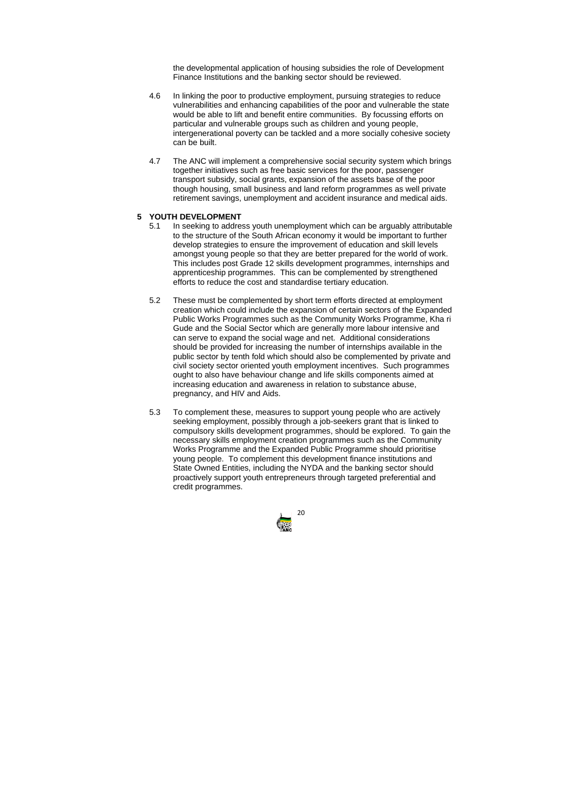

the developmental application of housing subsidies the role of Development Finance Institutions and the banking sector should be reviewed.

- 4.6 In linking the poor to productive employment, pursuing strategies to reduce vulnerabilities and enhancing capabilities of the poor and vulnerable the state would be able to lift and benefit entire communities. By focussing efforts on particular and vulnerable groups such as children and young people, intergenerational poverty can be tackled and a more socially cohesive society can be built.
- 4.7 The ANC will implement a comprehensive social security system which brings together initiatives such as free basic services for the poor, passenger transport subsidy, social grants, expansion of the assets base of the poor though housing, small business and land reform programmes as well private retirement savings, unemployment and accident insurance and medical aids.

# **5 YOUTH DEVELOPMENT**

- 5.1 In seeking to address youth unemployment which can be arguably attributable to the structure of the South African economy it would be important to further develop strategies to ensure the improvement of education and skill levels amongst young people so that they are better prepared for the world of work. This includes post Grade 12 skills development programmes, internships and apprenticeship programmes. This can be complemented by strengthened efforts to reduce the cost and standardise tertiary education.
- 5.2 These must be complemented by short term efforts directed at employment creation which could include the expansion of certain sectors of the Expanded Public Works Programmes such as the Community Works Programme, Kha ri Gude and the Social Sector which are generally more labour intensive and can serve to expand the social wage and net. Additional considerations should be provided for increasing the number of internships available in the public sector by tenth fold which should also be complemented by private and civil society sector oriented youth employment incentives. Such programmes ought to also have behaviour change and life skills components aimed at increasing education and awareness in relation to substance abuse, pregnancy, and HIV and Aids.
- 5.3 To complement these, measures to support young people who are actively seeking employment, possibly through a job-seekers grant that is linked to compulsory skills development programmes, should be explored. To gain the necessary skills employment creation programmes such as the Community Works Programme and the Expanded Public Programme should prioritise young people. To complement this development finance institutions and State Owned Entities, including the NYDA and the banking sector should proactively support youth entrepreneurs through targeted preferential and credit programmes.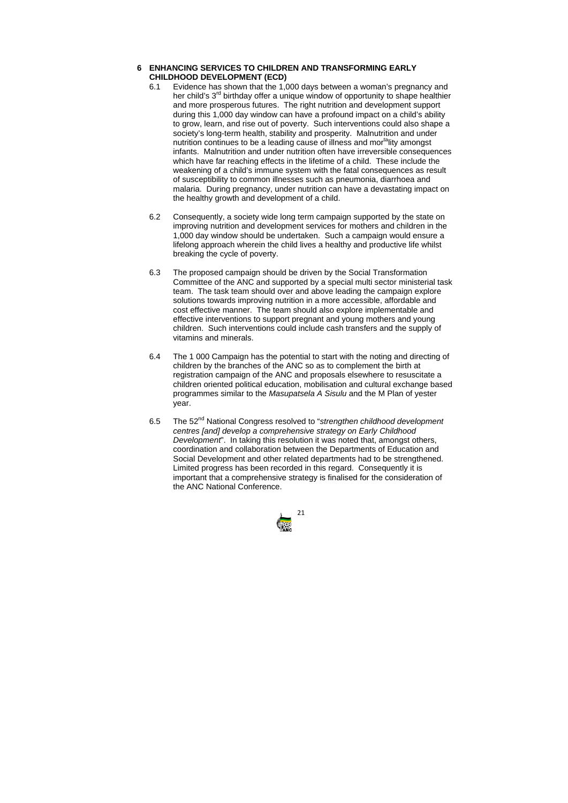

# **6 ENHANCING SERVICES TO CHILDREN AND TRANSFORMING EARLY CHILDHOOD DEVELOPMENT (ECD)**

- 6.1 Evidence has shown that the 1,000 days between a woman's pregnancy and her child's  $3<sup>rd</sup>$  birthday offer a unique window of opportunity to shape healthier and more prosperous futures. The right nutrition and development support during this 1,000 day window can have a profound impact on a child's ability to grow, learn, and rise out of poverty. Such interventions could also shape a society's long-term health, stability and prosperity. Malnutrition and under nutrition continues to be a leading cause of illness and mortality amongst infants. Malnutrition and under nutrition often have irreversible consequences which have far reaching effects in the lifetime of a child. These include the weakening of a child's immune system with the fatal consequences as result of susceptibility to common illnesses such as pneumonia, diarrhoea and malaria. During pregnancy, under nutrition can have a devastating impact on the healthy growth and development of a child.
- 6.2 Consequently, a society wide long term campaign supported by the state on improving nutrition and development services for mothers and children in the 1,000 day window should be undertaken. Such a campaign would ensure a lifelong approach wherein the child lives a healthy and productive life whilst breaking the cycle of poverty.
- 6.3 The proposed campaign should be driven by the Social Transformation Committee of the ANC and supported by a special multi sector ministerial task team. The task team should over and above leading the campaign explore solutions towards improving nutrition in a more accessible, affordable and cost effective manner. The team should also explore implementable and effective interventions to support pregnant and young mothers and young children. Such interventions could include cash transfers and the supply of vitamins and minerals.
- 6.4 The 1 000 Campaign has the potential to start with the noting and directing of children by the branches of the ANC so as to complement the birth at registration campaign of the ANC and proposals elsewhere to resuscitate a children oriented political education, mobilisation and cultural exchange based programmes similar to the *Masupatsela A Sisulu* and the M Plan of yester year.
- 6.5 The 52nd National Congress resolved to "*strengthen childhood development centres [and] develop a comprehensive strategy on Early Childhood Development*". In taking this resolution it was noted that, amongst others, coordination and collaboration between the Departments of Education and Social Development and other related departments had to be strengthened. Limited progress has been recorded in this regard. Consequently it is important that a comprehensive strategy is finalised for the consideration of the ANC National Conference.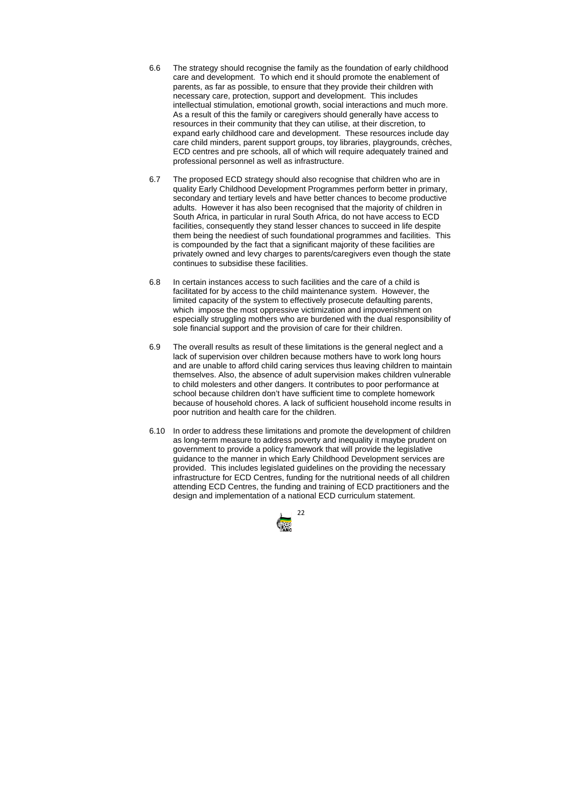

- 6.6 The strategy should recognise the family as the foundation of early childhood care and development. To which end it should promote the enablement of parents, as far as possible, to ensure that they provide their children with necessary care, protection, support and development. This includes intellectual stimulation, emotional growth, social interactions and much more. As a result of this the family or caregivers should generally have access to resources in their community that they can utilise, at their discretion, to expand early childhood care and development. These resources include day care child minders, parent support groups, toy libraries, playgrounds, crèches, ECD centres and pre schools, all of which will require adequately trained and professional personnel as well as infrastructure.
- 6.7 The proposed ECD strategy should also recognise that children who are in quality Early Childhood Development Programmes perform better in primary, secondary and tertiary levels and have better chances to become productive adults. However it has also been recognised that the majority of children in South Africa, in particular in rural South Africa, do not have access to ECD facilities, consequently they stand lesser chances to succeed in life despite them being the neediest of such foundational programmes and facilities. This is compounded by the fact that a significant majority of these facilities are privately owned and levy charges to parents/caregivers even though the state continues to subsidise these facilities.
- 6.8 In certain instances access to such facilities and the care of a child is facilitated for by access to the child maintenance system. However, the limited capacity of the system to effectively prosecute defaulting parents, which impose the most oppressive victimization and impoverishment on especially struggling mothers who are burdened with the dual responsibility of sole financial support and the provision of care for their children.
- 6.9 The overall results as result of these limitations is the general neglect and a lack of supervision over children because mothers have to work long hours and are unable to afford child caring services thus leaving children to maintain themselves. Also, the absence of adult supervision makes children vulnerable to child molesters and other dangers. It contributes to poor performance at school because children don't have sufficient time to complete homework because of household chores. A lack of sufficient household income results in poor nutrition and health care for the children.
- 6.10 In order to address these limitations and promote the development of children as long-term measure to address poverty and inequality it maybe prudent on government to provide a policy framework that will provide the legislative guidance to the manner in which Early Childhood Development services are provided. This includes legislated guidelines on the providing the necessary infrastructure for ECD Centres, funding for the nutritional needs of all children attending ECD Centres, the funding and training of ECD practitioners and the design and implementation of a national ECD curriculum statement.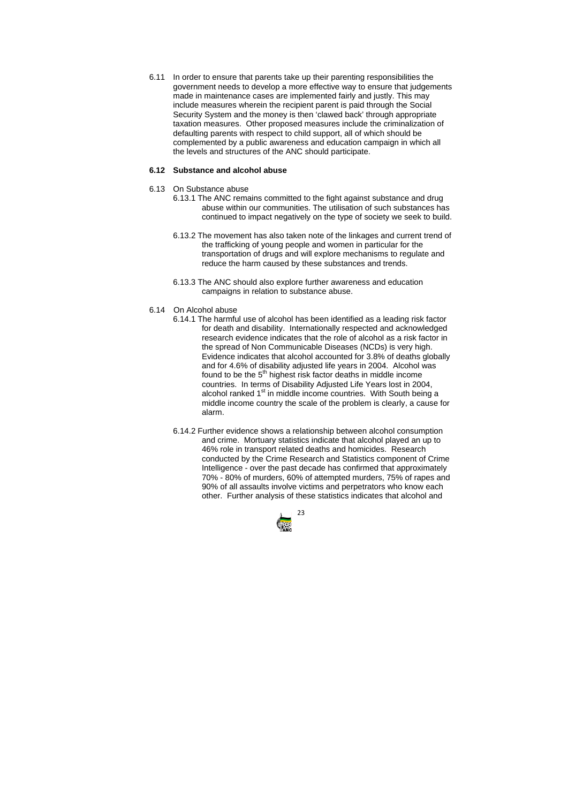

6.11 In order to ensure that parents take up their parenting responsibilities the government needs to develop a more effective way to ensure that judgements made in maintenance cases are implemented fairly and justly. This may include measures wherein the recipient parent is paid through the Social Security System and the money is then 'clawed back' through appropriate taxation measures. Other proposed measures include the criminalization of defaulting parents with respect to child support, all of which should be complemented by a public awareness and education campaign in which all the levels and structures of the ANC should participate.

# **6.12 Substance and alcohol abuse**

#### 6.13 On Substance abuse

- 6.13.1 The ANC remains committed to the fight against substance and drug abuse within our communities. The utilisation of such substances has continued to impact negatively on the type of society we seek to build.
- 6.13.2 The movement has also taken note of the linkages and current trend of the trafficking of young people and women in particular for the transportation of drugs and will explore mechanisms to regulate and reduce the harm caused by these substances and trends.
- 6.13.3 The ANC should also explore further awareness and education campaigns in relation to substance abuse.

#### 6.14 On Alcohol abuse

- 6.14.1 The harmful use of alcohol has been identified as a leading risk factor for death and disability. Internationally respected and acknowledged research evidence indicates that the role of alcohol as a risk factor in the spread of Non Communicable Diseases (NCDs) is very high. Evidence indicates that alcohol accounted for 3.8% of deaths globally and for 4.6% of disability adjusted life years in 2004. Alcohol was found to be the 5<sup>th</sup> highest risk factor deaths in middle income countries. In terms of Disability Adjusted Life Years lost in 2004, alcohol ranked  $1<sup>st</sup>$  in middle income countries. With South being a middle income country the scale of the problem is clearly, a cause for alarm.
- 6.14.2 Further evidence shows a relationship between alcohol consumption and crime. Mortuary statistics indicate that alcohol played an up to 46% role in transport related deaths and homicides. Research conducted by the Crime Research and Statistics component of Crime Intelligence - over the past decade has confirmed that approximately 70% - 80% of murders, 60% of attempted murders, 75% of rapes and 90% of all assaults involve victims and perpetrators who know each other. Further analysis of these statistics indicates that alcohol and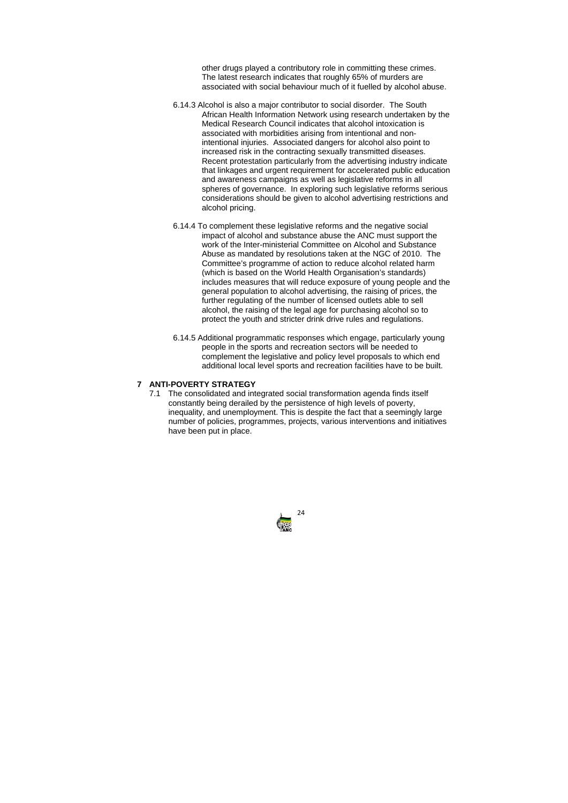

other drugs played a contributory role in committing these crimes. The latest research indicates that roughly 65% of murders are associated with social behaviour much of it fuelled by alcohol abuse.

- 6.14.3 Alcohol is also a major contributor to social disorder. The South African Health Information Network using research undertaken by the Medical Research Council indicates that alcohol intoxication is associated with morbidities arising from intentional and nonintentional injuries. Associated dangers for alcohol also point to increased risk in the contracting sexually transmitted diseases. Recent protestation particularly from the advertising industry indicate that linkages and urgent requirement for accelerated public education and awareness campaigns as well as legislative reforms in all spheres of governance. In exploring such legislative reforms serious considerations should be given to alcohol advertising restrictions and alcohol pricing.
- 6.14.4 To complement these legislative reforms and the negative social impact of alcohol and substance abuse the ANC must support the work of the Inter-ministerial Committee on Alcohol and Substance Abuse as mandated by resolutions taken at the NGC of 2010. The Committee's programme of action to reduce alcohol related harm (which is based on the World Health Organisation's standards) includes measures that will reduce exposure of young people and the general population to alcohol advertising, the raising of prices, the further regulating of the number of licensed outlets able to sell alcohol, the raising of the legal age for purchasing alcohol so to protect the youth and stricter drink drive rules and regulations.
- 6.14.5 Additional programmatic responses which engage, particularly young people in the sports and recreation sectors will be needed to complement the legislative and policy level proposals to which end additional local level sports and recreation facilities have to be built.

# **7 ANTI-POVERTY STRATEGY**

7.1 The consolidated and integrated social transformation agenda finds itself constantly being derailed by the persistence of high levels of poverty, inequality, and unemployment. This is despite the fact that a seemingly large number of policies, programmes, projects, various interventions and initiatives have been put in place.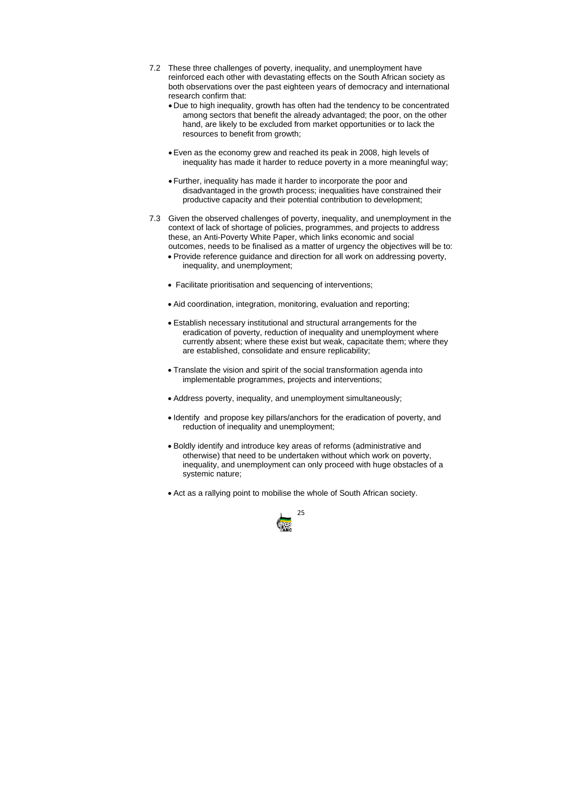

- 7.2 These three challenges of poverty, inequality, and unemployment have reinforced each other with devastating effects on the South African society as both observations over the past eighteen years of democracy and international research confirm that:
	- Due to high inequality, growth has often had the tendency to be concentrated among sectors that benefit the already advantaged; the poor, on the other hand, are likely to be excluded from market opportunities or to lack the resources to benefit from growth;
	- Even as the economy grew and reached its peak in 2008, high levels of inequality has made it harder to reduce poverty in a more meaningful way;
	- Further, inequality has made it harder to incorporate the poor and disadvantaged in the growth process; inequalities have constrained their productive capacity and their potential contribution to development;
- 7.3 Given the observed challenges of poverty, inequality, and unemployment in the context of lack of shortage of policies, programmes, and projects to address these, an Anti-Poverty White Paper, which links economic and social outcomes, needs to be finalised as a matter of urgency the objectives will be to:
	- Provide reference guidance and direction for all work on addressing poverty, inequality, and unemployment;
	- Facilitate prioritisation and sequencing of interventions;
	- Aid coordination, integration, monitoring, evaluation and reporting;
	- Establish necessary institutional and structural arrangements for the eradication of poverty, reduction of inequality and unemployment where currently absent; where these exist but weak, capacitate them; where they are established, consolidate and ensure replicability;
	- Translate the vision and spirit of the social transformation agenda into implementable programmes, projects and interventions;
	- Address poverty, inequality, and unemployment simultaneously;
	- Identify and propose key pillars/anchors for the eradication of poverty, and reduction of inequality and unemployment;
	- Boldly identify and introduce key areas of reforms (administrative and otherwise) that need to be undertaken without which work on poverty, inequality, and unemployment can only proceed with huge obstacles of a systemic nature;
	- Act as a rallying point to mobilise the whole of South African society.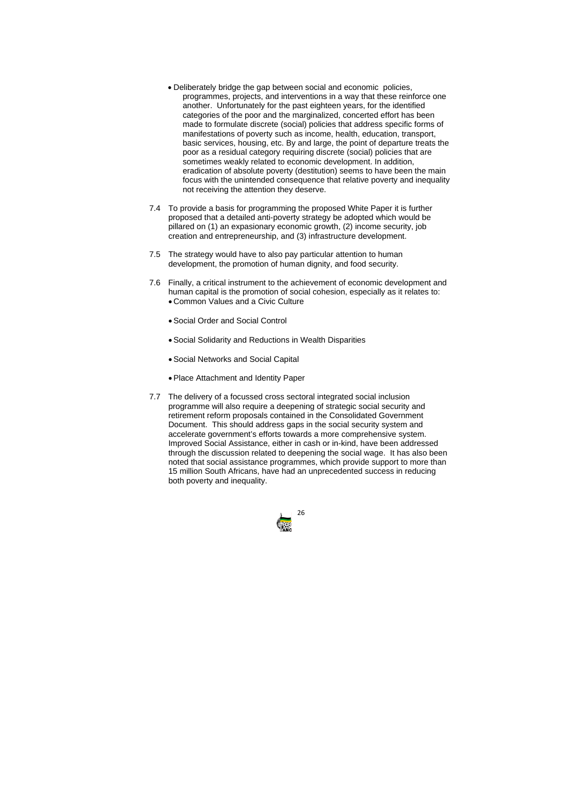

- Deliberately bridge the gap between social and economic policies, programmes, projects, and interventions in a way that these reinforce one another. Unfortunately for the past eighteen years, for the identified categories of the poor and the marginalized, concerted effort has been made to formulate discrete (social) policies that address specific forms of manifestations of poverty such as income, health, education, transport, basic services, housing, etc. By and large, the point of departure treats the poor as a residual category requiring discrete (social) policies that are sometimes weakly related to economic development. In addition, eradication of absolute poverty (destitution) seems to have been the main focus with the unintended consequence that relative poverty and inequality not receiving the attention they deserve.
- 7.4 To provide a basis for programming the proposed White Paper it is further proposed that a detailed anti-poverty strategy be adopted which would be pillared on (1) an expasionary economic growth, (2) income security, job creation and entrepreneurship, and (3) infrastructure development.
- 7.5 The strategy would have to also pay particular attention to human development, the promotion of human dignity, and food security.
- 7.6 Finally, a critical instrument to the achievement of economic development and human capital is the promotion of social cohesion, especially as it relates to: • Common Values and a Civic Culture
	- Social Order and Social Control
	- Social Solidarity and Reductions in Wealth Disparities
	- Social Networks and Social Capital
	- Place Attachment and Identity Paper
- 7.7 The delivery of a focussed cross sectoral integrated social inclusion programme will also require a deepening of strategic social security and retirement reform proposals contained in the Consolidated Government Document. This should address gaps in the social security system and accelerate government's efforts towards a more comprehensive system. Improved Social Assistance, either in cash or in-kind, have been addressed through the discussion related to deepening the social wage. It has also been noted that social assistance programmes, which provide support to more than 15 million South Africans, have had an unprecedented success in reducing both poverty and inequality.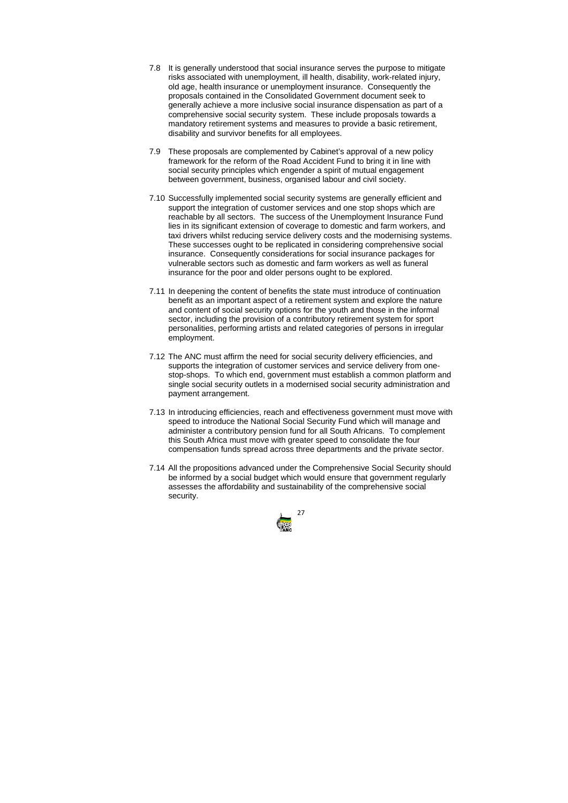

- 7.8 It is generally understood that social insurance serves the purpose to mitigate risks associated with unemployment, ill health, disability, work-related injury, old age, health insurance or unemployment insurance. Consequently the proposals contained in the Consolidated Government document seek to generally achieve a more inclusive social insurance dispensation as part of a comprehensive social security system. These include proposals towards a mandatory retirement systems and measures to provide a basic retirement, disability and survivor benefits for all employees.
- 7.9 These proposals are complemented by Cabinet's approval of a new policy framework for the reform of the Road Accident Fund to bring it in line with social security principles which engender a spirit of mutual engagement between government, business, organised labour and civil society.
- 7.10 Successfully implemented social security systems are generally efficient and support the integration of customer services and one stop shops which are reachable by all sectors. The success of the Unemployment Insurance Fund lies in its significant extension of coverage to domestic and farm workers, and taxi drivers whilst reducing service delivery costs and the modernising systems. These successes ought to be replicated in considering comprehensive social insurance. Consequently considerations for social insurance packages for vulnerable sectors such as domestic and farm workers as well as funeral insurance for the poor and older persons ought to be explored.
- 7.11 In deepening the content of benefits the state must introduce of continuation benefit as an important aspect of a retirement system and explore the nature and content of social security options for the youth and those in the informal sector, including the provision of a contributory retirement system for sport personalities, performing artists and related categories of persons in irregular employment.
- 7.12 The ANC must affirm the need for social security delivery efficiencies, and supports the integration of customer services and service delivery from onestop-shops. To which end, government must establish a common platform and single social security outlets in a modernised social security administration and payment arrangement.
- 7.13 In introducing efficiencies, reach and effectiveness government must move with speed to introduce the National Social Security Fund which will manage and administer a contributory pension fund for all South Africans. To complement this South Africa must move with greater speed to consolidate the four compensation funds spread across three departments and the private sector.
- 7.14 All the propositions advanced under the Comprehensive Social Security should be informed by a social budget which would ensure that government regularly assesses the affordability and sustainability of the comprehensive social security.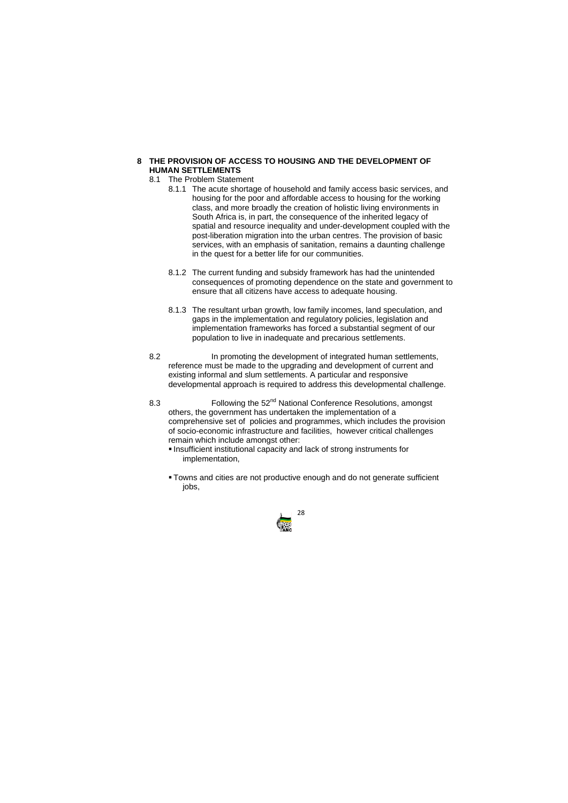

# **8 THE PROVISION OF ACCESS TO HOUSING AND THE DEVELOPMENT OF HUMAN SETTLEMENTS**

# 8.1 The Problem Statement

- 8.1.1 The acute shortage of household and family access basic services, and housing for the poor and affordable access to housing for the working class, and more broadly the creation of holistic living environments in South Africa is, in part, the consequence of the inherited legacy of spatial and resource inequality and under-development coupled with the post-liberation migration into the urban centres. The provision of basic services, with an emphasis of sanitation, remains a daunting challenge in the quest for a better life for our communities.
- 8.1.2 The current funding and subsidy framework has had the unintended consequences of promoting dependence on the state and government to ensure that all citizens have access to adequate housing.
- 8.1.3 The resultant urban growth, low family incomes, land speculation, and gaps in the implementation and regulatory policies, legislation and implementation frameworks has forced a substantial segment of our population to live in inadequate and precarious settlements.
- 8.2 In promoting the development of integrated human settlements, reference must be made to the upgrading and development of current and existing informal and slum settlements. A particular and responsive developmental approach is required to address this developmental challenge.
- 8.3 Following the 52<sup>nd</sup> National Conference Resolutions, amongst others, the government has undertaken the implementation of a comprehensive set of policies and programmes, which includes the provision of socio-economic infrastructure and facilities, however critical challenges remain which include amongst other:
	- **Insufficient institutional capacity and lack of strong instruments for** implementation,
	- Towns and cities are not productive enough and do not generate sufficient jobs,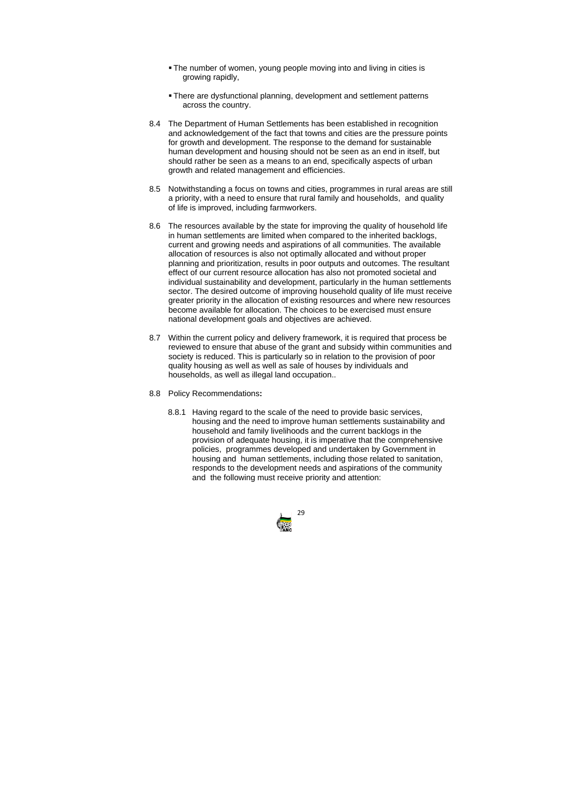

- The number of women, young people moving into and living in cities is growing rapidly,
- There are dysfunctional planning, development and settlement patterns across the country.
- 8.4 The Department of Human Settlements has been established in recognition and acknowledgement of the fact that towns and cities are the pressure points for growth and development. The response to the demand for sustainable human development and housing should not be seen as an end in itself, but should rather be seen as a means to an end, specifically aspects of urban growth and related management and efficiencies.
- 8.5 Notwithstanding a focus on towns and cities, programmes in rural areas are still a priority, with a need to ensure that rural family and households, and quality of life is improved, including farmworkers.
- 8.6 The resources available by the state for improving the quality of household life in human settlements are limited when compared to the inherited backlogs, current and growing needs and aspirations of all communities. The available allocation of resources is also not optimally allocated and without proper planning and prioritization, results in poor outputs and outcomes. The resultant effect of our current resource allocation has also not promoted societal and individual sustainability and development, particularly in the human settlements sector. The desired outcome of improving household quality of life must receive greater priority in the allocation of existing resources and where new resources become available for allocation. The choices to be exercised must ensure national development goals and objectives are achieved.
- 8.7 Within the current policy and delivery framework, it is required that process be reviewed to ensure that abuse of the grant and subsidy within communities and society is reduced. This is particularly so in relation to the provision of poor quality housing as well as well as sale of houses by individuals and households, as well as illegal land occupation..
- 8.8 Policy Recommendations**:**
	- 8.8.1 Having regard to the scale of the need to provide basic services, housing and the need to improve human settlements sustainability and household and family livelihoods and the current backlogs in the provision of adequate housing, it is imperative that the comprehensive policies, programmes developed and undertaken by Government in housing and human settlements, including those related to sanitation, responds to the development needs and aspirations of the community and the following must receive priority and attention: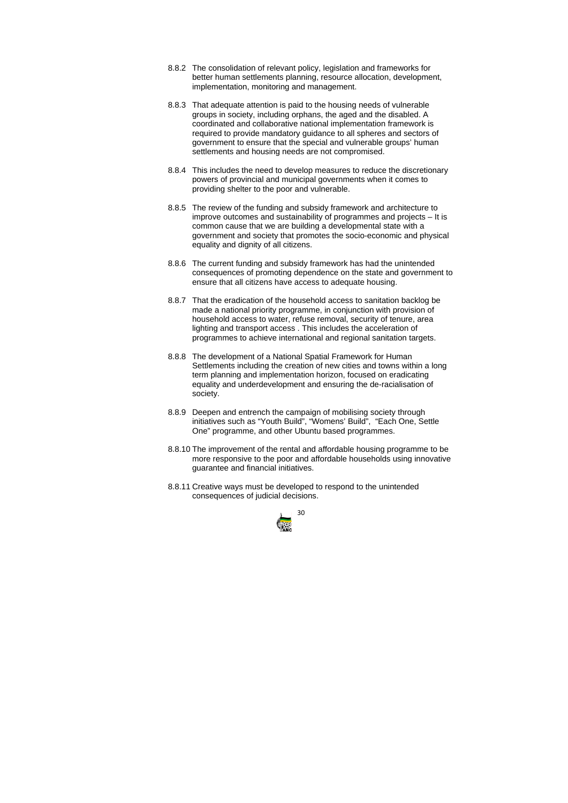

- 8.8.2 The consolidation of relevant policy, legislation and frameworks for better human settlements planning, resource allocation, development, implementation, monitoring and management.
- 8.8.3 That adequate attention is paid to the housing needs of vulnerable groups in society, including orphans, the aged and the disabled. A coordinated and collaborative national implementation framework is required to provide mandatory guidance to all spheres and sectors of government to ensure that the special and vulnerable groups' human settlements and housing needs are not compromised.
- 8.8.4 This includes the need to develop measures to reduce the discretionary powers of provincial and municipal governments when it comes to providing shelter to the poor and vulnerable.
- 8.8.5 The review of the funding and subsidy framework and architecture to improve outcomes and sustainability of programmes and projects – It is common cause that we are building a developmental state with a government and society that promotes the socio-economic and physical equality and dignity of all citizens.
- 8.8.6 The current funding and subsidy framework has had the unintended consequences of promoting dependence on the state and government to ensure that all citizens have access to adequate housing.
- 8.8.7 That the eradication of the household access to sanitation backlog be made a national priority programme, in conjunction with provision of household access to water, refuse removal, security of tenure, area lighting and transport access . This includes the acceleration of programmes to achieve international and regional sanitation targets.
- 8.8.8 The development of a National Spatial Framework for Human Settlements including the creation of new cities and towns within a long term planning and implementation horizon, focused on eradicating equality and underdevelopment and ensuring the de-racialisation of society.
- 8.8.9 Deepen and entrench the campaign of mobilising society through initiatives such as "Youth Build", "Womens' Build", "Each One, Settle One" programme, and other Ubuntu based programmes.
- 8.8.10 The improvement of the rental and affordable housing programme to be more responsive to the poor and affordable households using innovative guarantee and financial initiatives.
- 8.8.11 Creative ways must be developed to respond to the unintended consequences of judicial decisions.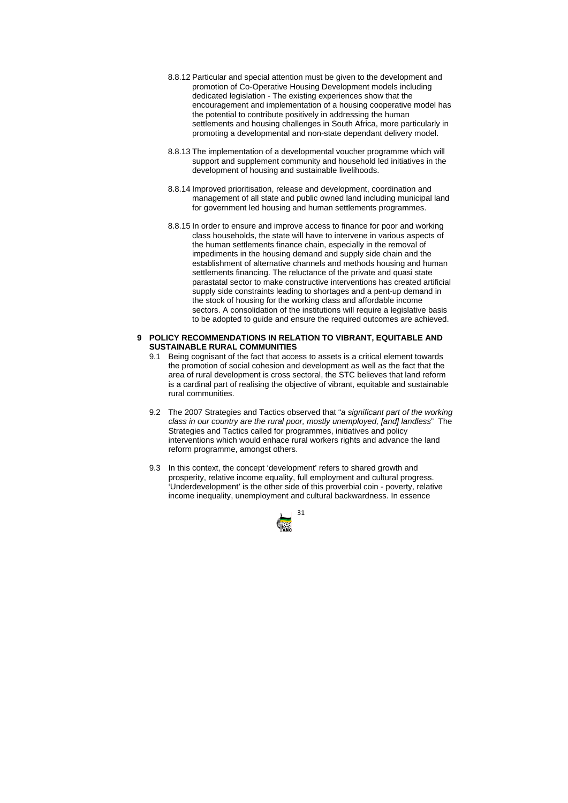

- 8.8.12 Particular and special attention must be given to the development and promotion of Co-Operative Housing Development models including dedicated legislation - The existing experiences show that the encouragement and implementation of a housing cooperative model has the potential to contribute positively in addressing the human settlements and housing challenges in South Africa, more particularly in promoting a developmental and non-state dependant delivery model.
- 8.8.13 The implementation of a developmental voucher programme which will support and supplement community and household led initiatives in the development of housing and sustainable livelihoods.
- 8.8.14 Improved prioritisation, release and development, coordination and management of all state and public owned land including municipal land for government led housing and human settlements programmes.
- 8.8.15 In order to ensure and improve access to finance for poor and working class households, the state will have to intervene in various aspects of the human settlements finance chain, especially in the removal of impediments in the housing demand and supply side chain and the establishment of alternative channels and methods housing and human settlements financing. The reluctance of the private and quasi state parastatal sector to make constructive interventions has created artificial supply side constraints leading to shortages and a pent-up demand in the stock of housing for the working class and affordable income sectors. A consolidation of the institutions will require a legislative basis to be adopted to guide and ensure the required outcomes are achieved.

# **9 POLICY RECOMMENDATIONS IN RELATION TO VIBRANT, EQUITABLE AND SUSTAINABLE RURAL COMMUNITIES**

- 9.1 Being cognisant of the fact that access to assets is a critical element towards the promotion of social cohesion and development as well as the fact that the area of rural development is cross sectoral, the STC believes that land reform is a cardinal part of realising the objective of vibrant, equitable and sustainable rural communities.
- 9.2 The 2007 Strategies and Tactics observed that "*a significant part of the working class in our country are the rural poor, mostly unemployed, [and] landless*" The Strategies and Tactics called for programmes, initiatives and policy interventions which would enhace rural workers rights and advance the land reform programme, amongst others.
- 9.3 In this context, the concept 'development' refers to shared growth and prosperity, relative income equality, full employment and cultural progress. 'Underdevelopment' is the other side of this proverbial coin - poverty, relative income inequality, unemployment and cultural backwardness. In essence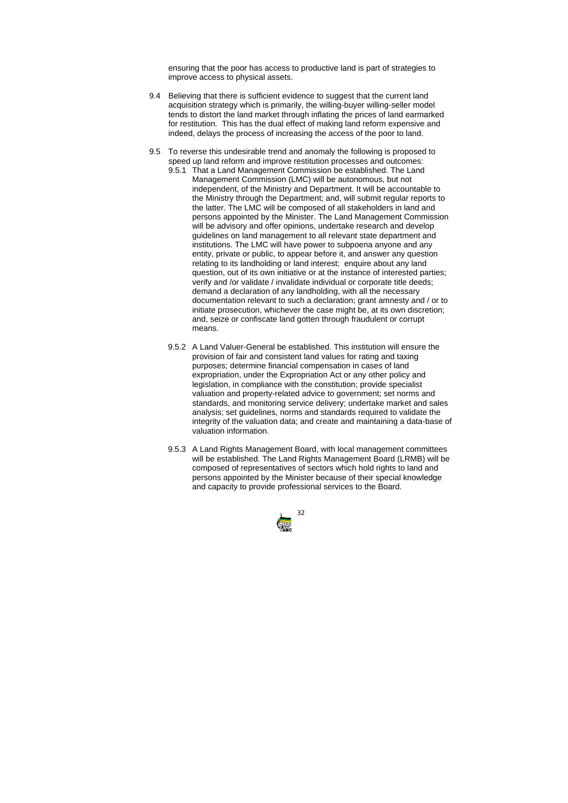

ensuring that the poor has access to productive land is part of strategies to improve access to physical assets.

- 9.4 Believing that there is sufficient evidence to suggest that the current land acquisition strategy which is primarily, the willing-buyer willing-seller model tends to distort the land market through inflating the prices of land earmarked for restitution. This has the dual effect of making land reform expensive and indeed, delays the process of increasing the access of the poor to land.
- 9.5 To reverse this undesirable trend and anomaly the following is proposed to speed up land reform and improve restitution processes and outcomes:
	- 9.5.1 That a Land Management Commission be established. The Land Management Commission (LMC) will be autonomous, but not independent, of the Ministry and Department. It will be accountable to the Ministry through the Department; and, will submit regular reports to the latter. The LMC will be composed of all stakeholders in land and persons appointed by the Minister. The Land Management Commission will be advisory and offer opinions, undertake research and develop guidelines on land management to all relevant state department and institutions. The LMC will have power to subpoena anyone and any entity, private or public, to appear before it, and answer any question relating to its landholding or land interest; enquire about any land question, out of its own initiative or at the instance of interested parties; verify and /or validate / invalidate individual or corporate title deeds; demand a declaration of any landholding, with all the necessary documentation relevant to such a declaration; grant amnesty and / or to initiate prosecution, whichever the case might be, at its own discretion; and, seize or confiscate land gotten through fraudulent or corrupt means.
	- 9.5.2 A Land Valuer-General be established. This institution will ensure the provision of fair and consistent land values for rating and taxing purposes; determine financial compensation in cases of land expropriation, under the Expropriation Act or any other policy and legislation, in compliance with the constitution; provide specialist valuation and property-related advice to government; set norms and standards, and monitoring service delivery; undertake market and sales analysis; set guidelines, norms and standards required to validate the integrity of the valuation data; and create and maintaining a data-base of valuation information.
	- 9.5.3 A Land Rights Management Board, with local management committees will be established. The Land Rights Management Board (LRMB) will be composed of representatives of sectors which hold rights to land and persons appointed by the Minister because of their special knowledge and capacity to provide professional services to the Board.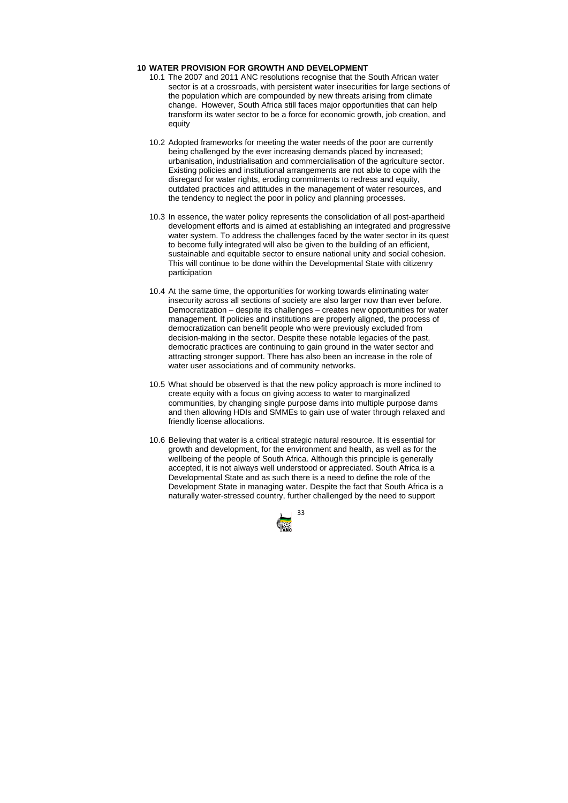

## **10 WATER PROVISION FOR GROWTH AND DEVELOPMENT**

- 10.1 The 2007 and 2011 ANC resolutions recognise that the South African water sector is at a crossroads, with persistent water insecurities for large sections of the population which are compounded by new threats arising from climate change. However, South Africa still faces major opportunities that can help transform its water sector to be a force for economic growth, job creation, and equity
- 10.2 Adopted frameworks for meeting the water needs of the poor are currently being challenged by the ever increasing demands placed by increased; urbanisation, industrialisation and commercialisation of the agriculture sector. Existing policies and institutional arrangements are not able to cope with the disregard for water rights, eroding commitments to redress and equity, outdated practices and attitudes in the management of water resources, and the tendency to neglect the poor in policy and planning processes.
- 10.3 In essence, the water policy represents the consolidation of all post-apartheid development efforts and is aimed at establishing an integrated and progressive water system. To address the challenges faced by the water sector in its quest to become fully integrated will also be given to the building of an efficient, sustainable and equitable sector to ensure national unity and social cohesion. This will continue to be done within the Developmental State with citizenry participation
- 10.4 At the same time, the opportunities for working towards eliminating water insecurity across all sections of society are also larger now than ever before. Democratization – despite its challenges – creates new opportunities for water management. If policies and institutions are properly aligned, the process of democratization can benefit people who were previously excluded from decision-making in the sector. Despite these notable legacies of the past, democratic practices are continuing to gain ground in the water sector and attracting stronger support. There has also been an increase in the role of water user associations and of community networks.
- 10.5 What should be observed is that the new policy approach is more inclined to create equity with a focus on giving access to water to marginalized communities, by changing single purpose dams into multiple purpose dams and then allowing HDIs and SMMEs to gain use of water through relaxed and friendly license allocations.
- 10.6 Believing that water is a critical strategic natural resource. It is essential for growth and development, for the environment and health, as well as for the wellbeing of the people of South Africa. Although this principle is generally accepted, it is not always well understood or appreciated. South Africa is a Developmental State and as such there is a need to define the role of the Development State in managing water. Despite the fact that South Africa is a naturally water-stressed country, further challenged by the need to support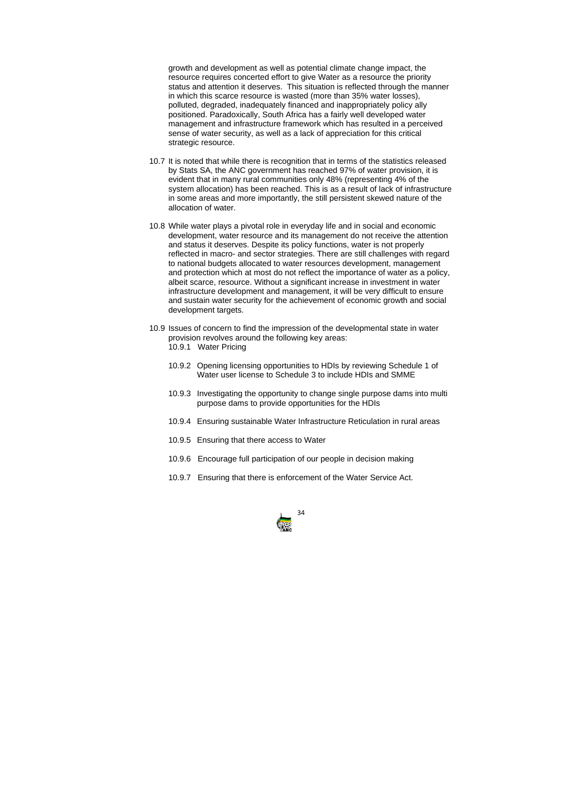

growth and development as well as potential climate change impact, the resource requires concerted effort to give Water as a resource the priority status and attention it deserves. This situation is reflected through the manner in which this scarce resource is wasted (more than 35% water losses), polluted, degraded, inadequately financed and inappropriately policy ally positioned. Paradoxically, South Africa has a fairly well developed water management and infrastructure framework which has resulted in a perceived sense of water security, as well as a lack of appreciation for this critical strategic resource.

- 10.7 It is noted that while there is recognition that in terms of the statistics released by Stats SA, the ANC government has reached 97% of water provision, it is evident that in many rural communities only 48% (representing 4% of the system allocation) has been reached. This is as a result of lack of infrastructure in some areas and more importantly, the still persistent skewed nature of the allocation of water.
- 10.8 While water plays a pivotal role in everyday life and in social and economic development, water resource and its management do not receive the attention and status it deserves. Despite its policy functions, water is not properly reflected in macro- and sector strategies. There are still challenges with regard to national budgets allocated to water resources development, management and protection which at most do not reflect the importance of water as a policy, albeit scarce, resource. Without a significant increase in investment in water infrastructure development and management, it will be very difficult to ensure and sustain water security for the achievement of economic growth and social development targets.
- 10.9 Issues of concern to find the impression of the developmental state in water provision revolves around the following key areas: 10.9.1 Water Pricing
	- 10.9.2 Opening licensing opportunities to HDIs by reviewing Schedule 1 of Water user license to Schedule 3 to include HDIs and SMME
	- 10.9.3 Investigating the opportunity to change single purpose dams into multi purpose dams to provide opportunities for the HDIs
	- 10.9.4 Ensuring sustainable Water Infrastructure Reticulation in rural areas
	- 10.9.5 Ensuring that there access to Water
	- 10.9.6 Encourage full participation of our people in decision making
	- 10.9.7 Ensuring that there is enforcement of the Water Service Act.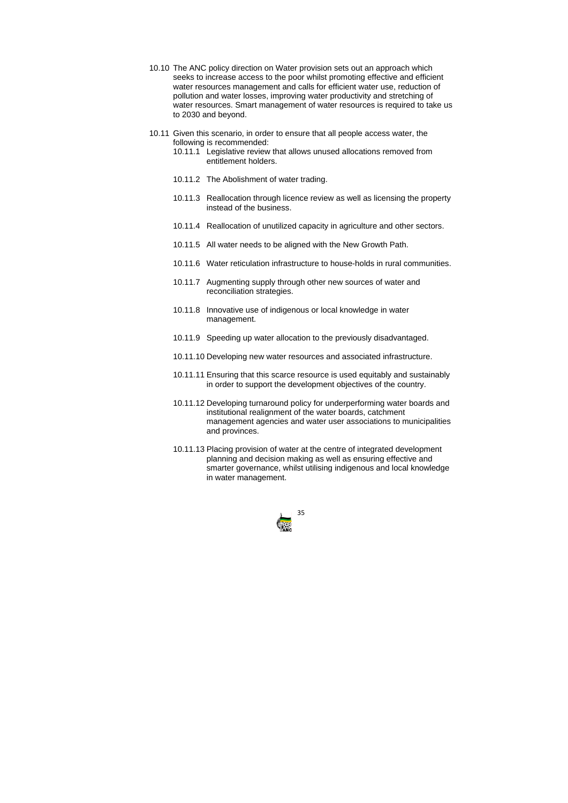

- 10.10 The ANC policy direction on Water provision sets out an approach which seeks to increase access to the poor whilst promoting effective and efficient water resources management and calls for efficient water use, reduction of pollution and water losses, improving water productivity and stretching of water resources. Smart management of water resources is required to take us to 2030 and beyond.
- 10.11 Given this scenario, in order to ensure that all people access water, the following is recommended:
	- 10.11.1 Legislative review that allows unused allocations removed from entitlement holders.
	- 10.11.2 The Abolishment of water trading.
	- 10.11.3 Reallocation through licence review as well as licensing the property instead of the business.
	- 10.11.4 Reallocation of unutilized capacity in agriculture and other sectors.
	- 10.11.5 All water needs to be aligned with the New Growth Path.
	- 10.11.6 Water reticulation infrastructure to house-holds in rural communities.
	- 10.11.7 Augmenting supply through other new sources of water and reconciliation strategies.
	- 10.11.8 Innovative use of indigenous or local knowledge in water management.
	- 10.11.9 Speeding up water allocation to the previously disadvantaged.
	- 10.11.10 Developing new water resources and associated infrastructure.
	- 10.11.11 Ensuring that this scarce resource is used equitably and sustainably in order to support the development objectives of the country.
	- 10.11.12 Developing turnaround policy for underperforming water boards and institutional realignment of the water boards, catchment management agencies and water user associations to municipalities and provinces.
	- 10.11.13 Placing provision of water at the centre of integrated development planning and decision making as well as ensuring effective and smarter governance, whilst utilising indigenous and local knowledge in water management.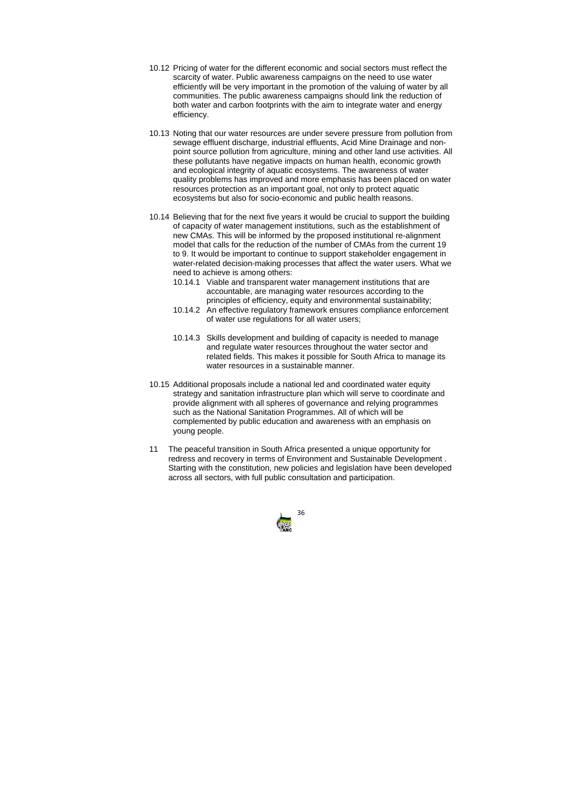

- 10.12 Pricing of water for the different economic and social sectors must reflect the scarcity of water. Public awareness campaigns on the need to use water efficiently will be very important in the promotion of the valuing of water by all communities. The public awareness campaigns should link the reduction of both water and carbon footprints with the aim to integrate water and energy efficiency.
- 10.13 Noting that our water resources are under severe pressure from pollution from sewage effluent discharge, industrial effluents, Acid Mine Drainage and nonpoint source pollution from agriculture, mining and other land use activities. All these pollutants have negative impacts on human health, economic growth and ecological integrity of aquatic ecosystems. The awareness of water quality problems has improved and more emphasis has been placed on water resources protection as an important goal, not only to protect aquatic ecosystems but also for socio-economic and public health reasons.
- 10.14 Believing that for the next five years it would be crucial to support the building of capacity of water management institutions, such as the establishment of new CMAs. This will be informed by the proposed institutional re-alignment model that calls for the reduction of the number of CMAs from the current 19 to 9. It would be important to continue to support stakeholder engagement in water-related decision-making processes that affect the water users. What we need to achieve is among others:
	- 10.14.1 Viable and transparent water management institutions that are accountable, are managing water resources according to the principles of efficiency, equity and environmental sustainability;
	- 10.14.2 An effective regulatory framework ensures compliance enforcement of water use regulations for all water users;
	- 10.14.3 Skills development and building of capacity is needed to manage and regulate water resources throughout the water sector and related fields. This makes it possible for South Africa to manage its water resources in a sustainable manner.
- 10.15 Additional proposals include a national led and coordinated water equity strategy and sanitation infrastructure plan which will serve to coordinate and provide alignment with all spheres of governance and relying programmes such as the National Sanitation Programmes. All of which will be complemented by public education and awareness with an emphasis on young people.
- 11 The peaceful transition in South Africa presented a unique opportunity for redress and recovery in terms of Environment and Sustainable Development . Starting with the constitution, new policies and legislation have been developed across all sectors, with full public consultation and participation.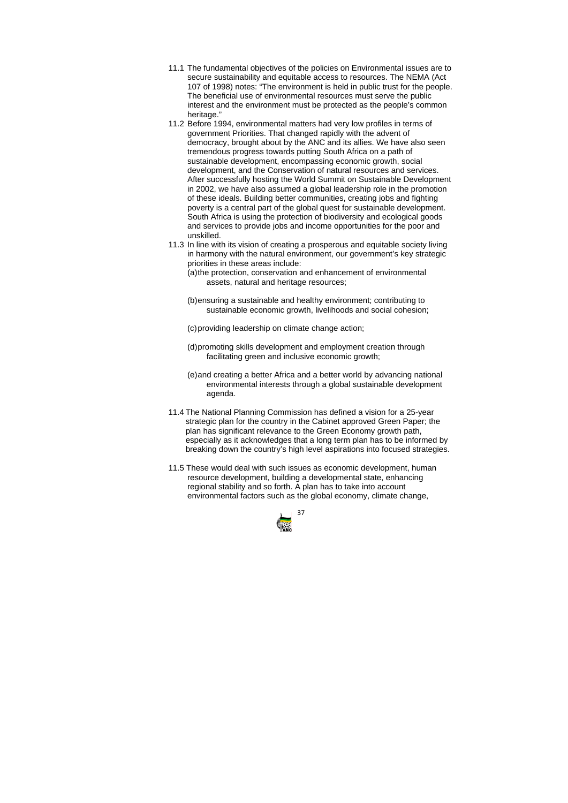

- 11.1 The fundamental objectives of the policies on Environmental issues are to secure sustainability and equitable access to resources. The NEMA (Act 107 of 1998) notes: "The environment is held in public trust for the people. The beneficial use of environmental resources must serve the public interest and the environment must be protected as the people's common heritage."
- 11.2 Before 1994, environmental matters had very low profiles in terms of government Priorities. That changed rapidly with the advent of democracy, brought about by the ANC and its allies. We have also seen tremendous progress towards putting South Africa on a path of sustainable development, encompassing economic growth, social development, and the Conservation of natural resources and services. After successfully hosting the World Summit on Sustainable Development in 2002, we have also assumed a global leadership role in the promotion of these ideals. Building better communities, creating jobs and fighting poverty is a central part of the global quest for sustainable development. South Africa is using the protection of biodiversity and ecological goods and services to provide jobs and income opportunities for the poor and unskilled.
- 11.3 In line with its vision of creating a prosperous and equitable society living in harmony with the natural environment, our government's key strategic priorities in these areas include:

(a) the protection, conservation and enhancement of environmental assets, natural and heritage resources;

(b) ensuring a sustainable and healthy environment; contributing to sustainable economic growth, livelihoods and social cohesion;

(c) providing leadership on climate change action;

- (d) promoting skills development and employment creation through facilitating green and inclusive economic growth;
- (e) and creating a better Africa and a better world by advancing national environmental interests through a global sustainable development agenda.
- 11.4 The National Planning Commission has defined a vision for a 25-year strategic plan for the country in the Cabinet approved Green Paper; the plan has significant relevance to the Green Economy growth path, especially as it acknowledges that a long term plan has to be informed by breaking down the country's high level aspirations into focused strategies.
- 11.5 These would deal with such issues as economic development, human resource development, building a developmental state, enhancing regional stability and so forth. A plan has to take into account environmental factors such as the global economy, climate change,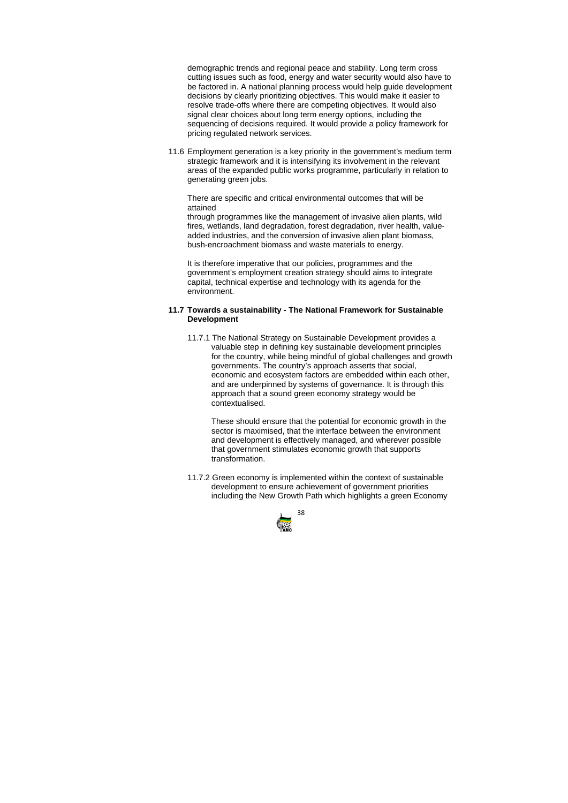

demographic trends and regional peace and stability. Long term cross cutting issues such as food, energy and water security would also have to be factored in. A national planning process would help guide development decisions by clearly prioritizing objectives. This would make it easier to resolve trade-offs where there are competing objectives. It would also signal clear choices about long term energy options, including the sequencing of decisions required. It would provide a policy framework for pricing regulated network services.

11.6 Employment generation is a key priority in the government's medium term strategic framework and it is intensifying its involvement in the relevant areas of the expanded public works programme, particularly in relation to generating green jobs.

 There are specific and critical environmental outcomes that will be attained

through programmes like the management of invasive alien plants, wild fires, wetlands, land degradation, forest degradation, river health, valueadded industries, and the conversion of invasive alien plant biomass, bush-encroachment biomass and waste materials to energy.

It is therefore imperative that our policies, programmes and the government's employment creation strategy should aims to integrate capital, technical expertise and technology with its agenda for the environment.

## **11.7 Towards a sustainability - The National Framework for Sustainable Development**

11.7.1 The National Strategy on Sustainable Development provides a valuable step in defining key sustainable development principles for the country, while being mindful of global challenges and growth governments. The country's approach asserts that social, economic and ecosystem factors are embedded within each other, and are underpinned by systems of governance. It is through this approach that a sound green economy strategy would be contextualised.

These should ensure that the potential for economic growth in the sector is maximised, that the interface between the environment and development is effectively managed, and wherever possible that government stimulates economic growth that supports transformation.

11.7.2 Green economy is implemented within the context of sustainable development to ensure achievement of government priorities including the New Growth Path which highlights a green Economy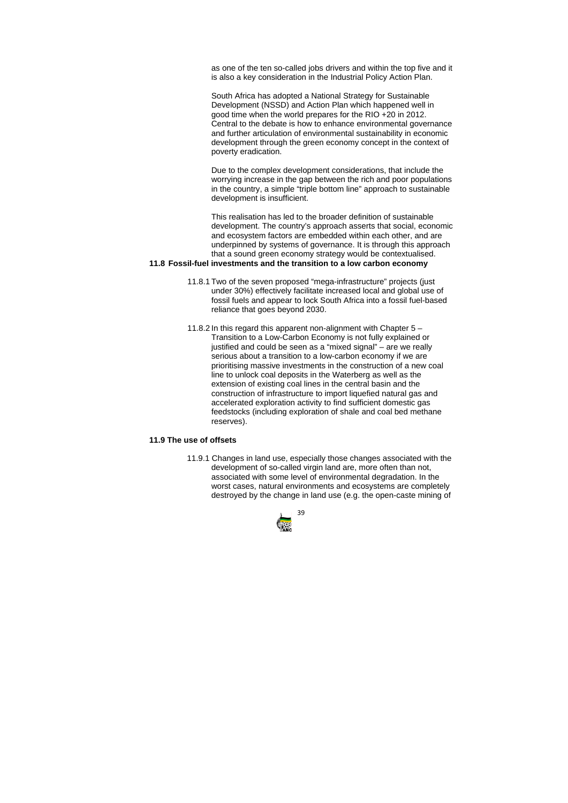

as one of the ten so-called jobs drivers and within the top five and it is also a key consideration in the Industrial Policy Action Plan.

South Africa has adopted a National Strategy for Sustainable Development (NSSD) and Action Plan which happened well in good time when the world prepares for the RIO +20 in 2012. Central to the debate is how to enhance environmental governance and further articulation of environmental sustainability in economic development through the green economy concept in the context of poverty eradication.

Due to the complex development considerations, that include the worrying increase in the gap between the rich and poor populations in the country, a simple "triple bottom line" approach to sustainable development is insufficient.

This realisation has led to the broader definition of sustainable development. The country's approach asserts that social, economic and ecosystem factors are embedded within each other, and are underpinned by systems of governance. It is through this approach that a sound green economy strategy would be contextualised.

# **11.8 Fossil-fuel investments and the transition to a low carbon economy**

- 11.8.1 Two of the seven proposed "mega-infrastructure" projects (just under 30%) effectively facilitate increased local and global use of fossil fuels and appear to lock South Africa into a fossil fuel-based reliance that goes beyond 2030.
- 11.8.2 In this regard this apparent non-alignment with Chapter 5 Transition to a Low-Carbon Economy is not fully explained or justified and could be seen as a "mixed signal" – are we really serious about a transition to a low-carbon economy if we are prioritising massive investments in the construction of a new coal line to unlock coal deposits in the Waterberg as well as the extension of existing coal lines in the central basin and the construction of infrastructure to import liquefied natural gas and accelerated exploration activity to find sufficient domestic gas feedstocks (including exploration of shale and coal bed methane reserves).

## **11.9 The use of offsets**

11.9.1 Changes in land use, especially those changes associated with the development of so-called virgin land are, more often than not, associated with some level of environmental degradation. In the worst cases, natural environments and ecosystems are completely destroyed by the change in land use (e.g. the open-caste mining of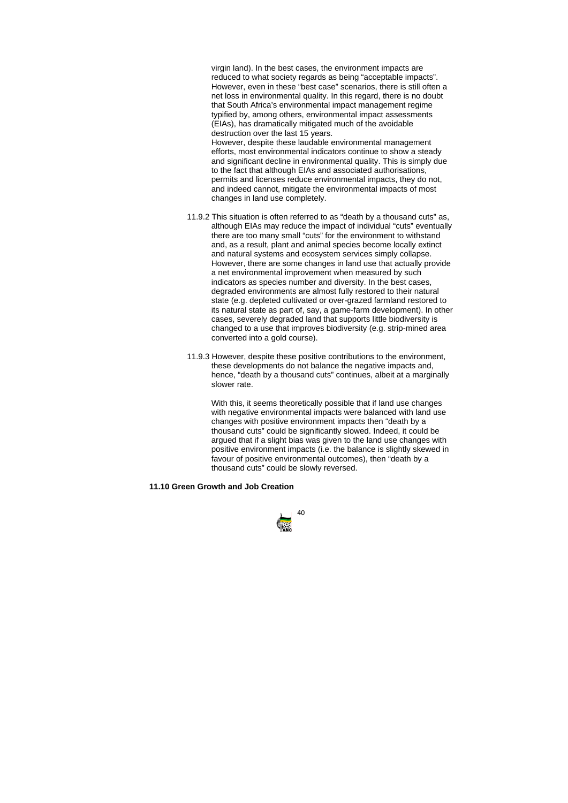

virgin land). In the best cases, the environment impacts are reduced to what society regards as being "acceptable impacts". However, even in these "best case" scenarios, there is still often a net loss in environmental quality. In this regard, there is no doubt that South Africa's environmental impact management regime typified by, among others, environmental impact assessments (EIAs), has dramatically mitigated much of the avoidable destruction over the last 15 years.

However, despite these laudable environmental management efforts, most environmental indicators continue to show a steady and significant decline in environmental quality. This is simply due to the fact that although EIAs and associated authorisations, permits and licenses reduce environmental impacts, they do not, and indeed cannot, mitigate the environmental impacts of most changes in land use completely.

- 11.9.2 This situation is often referred to as "death by a thousand cuts" as, although EIAs may reduce the impact of individual "cuts" eventually there are too many small "cuts" for the environment to withstand and, as a result, plant and animal species become locally extinct and natural systems and ecosystem services simply collapse. However, there are some changes in land use that actually provide a net environmental improvement when measured by such indicators as species number and diversity. In the best cases, degraded environments are almost fully restored to their natural state (e.g. depleted cultivated or over-grazed farmland restored to its natural state as part of, say, a game-farm development). In other cases, severely degraded land that supports little biodiversity is changed to a use that improves biodiversity (e.g. strip-mined area converted into a gold course).
- 11.9.3 However, despite these positive contributions to the environment, these developments do not balance the negative impacts and, hence, "death by a thousand cuts" continues, albeit at a marginally slower rate.

With this, it seems theoretically possible that if land use changes with negative environmental impacts were balanced with land use changes with positive environment impacts then "death by a thousand cuts" could be significantly slowed. Indeed, it could be argued that if a slight bias was given to the land use changes with positive environment impacts (i.e. the balance is slightly skewed in favour of positive environmental outcomes), then "death by a thousand cuts" could be slowly reversed.

#### **11.10 Green Growth and Job Creation**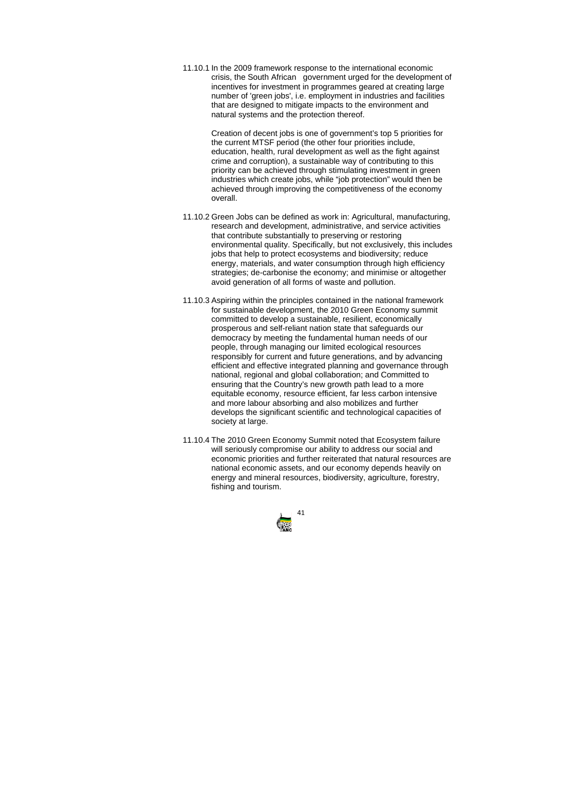

11.10.1 In the 2009 framework response to the international economic crisis, the South Africangovernment urged for the development of incentives for investment in programmes geared at creating large number of 'green jobs', i.e. employment in industries and facilities that are designed to mitigate impacts to the environment and natural systems and the protection thereof.

> Creation of decent jobs is one of government's top 5 priorities for the current MTSF period (the other four priorities include, education, health, rural development as well as the fight against crime and corruption), a sustainable way of contributing to this priority can be achieved through stimulating investment in green industries which create jobs, while "job protection" would then be achieved through improving the competitiveness of the economy overall.

- 11.10.2 Green Jobs can be defined as work in: Agricultural, manufacturing, research and development, administrative, and service activities that contribute substantially to preserving or restoring environmental quality. Specifically, but not exclusively, this includes jobs that help to protect ecosystems and biodiversity; reduce energy, materials, and water consumption through high efficiency strategies; de-carbonise the economy; and minimise or altogether avoid generation of all forms of waste and pollution.
- 11.10.3 Aspiring within the principles contained in the national framework for sustainable development, the 2010 Green Economy summit committed to develop a sustainable, resilient, economically prosperous and self-reliant nation state that safeguards our democracy by meeting the fundamental human needs of our people, through managing our limited ecological resources responsibly for current and future generations, and by advancing efficient and effective integrated planning and governance through national, regional and global collaboration; and Committed to ensuring that the Country's new growth path lead to a more equitable economy, resource efficient, far less carbon intensive and more labour absorbing and also mobilizes and further develops the significant scientific and technological capacities of society at large.
- 11.10.4 The 2010 Green Economy Summit noted that Ecosystem failure will seriously compromise our ability to address our social and economic priorities and further reiterated that natural resources are national economic assets, and our economy depends heavily on energy and mineral resources, biodiversity, agriculture, forestry, fishing and tourism.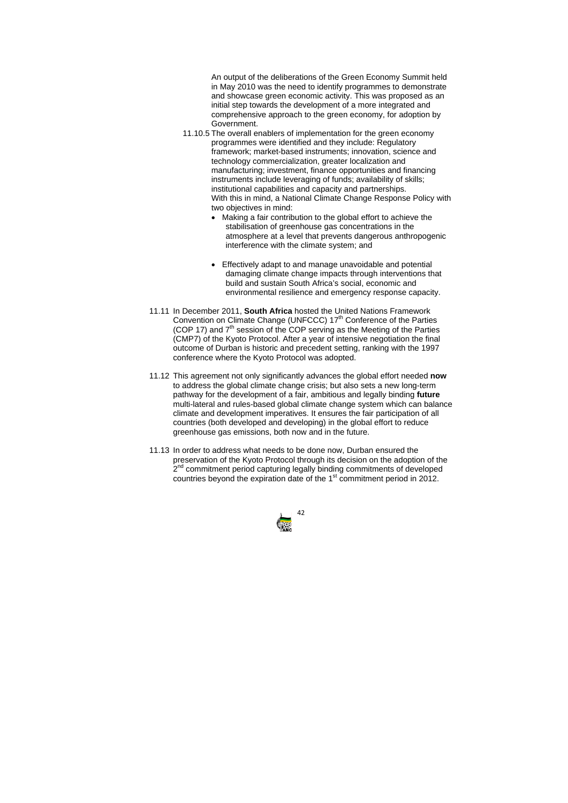

- 11.10.5 The overall enablers of implementation for the green economy programmes were identified and they include: Regulatory framework; market-based instruments; innovation, science and technology commercialization, greater localization and manufacturing; investment, finance opportunities and financing instruments include leveraging of funds; availability of skills; institutional capabilities and capacity and partnerships. With this in mind, a National Climate Change Response Policy with two objectives in mind:
	- Making a fair contribution to the global effort to achieve the stabilisation of greenhouse gas concentrations in the atmosphere at a level that prevents dangerous anthropogenic interference with the climate system; and
	- Effectively adapt to and manage unavoidable and potential damaging climate change impacts through interventions that build and sustain South Africa's social, economic and environmental resilience and emergency response capacity.
- 11.11 In December 2011, **South Africa** hosted the United Nations Framework Convention on Climate Change (UNFCCC)  $17<sup>th</sup>$  Conference of the Parties (COP 17) and  $7<sup>th</sup>$  session of the COP serving as the Meeting of the Parties (CMP7) of the Kyoto Protocol. After a year of intensive negotiation the final outcome of Durban is historic and precedent setting, ranking with the 1997 conference where the Kyoto Protocol was adopted.
- 11.12 This agreement not only significantly advances the global effort needed **now** to address the global climate change crisis; but also sets a new long-term pathway for the development of a fair, ambitious and legally binding **future** multi-lateral and rules-based global climate change system which can balance climate and development imperatives. It ensures the fair participation of all countries (both developed and developing) in the global effort to reduce greenhouse gas emissions, both now and in the future.
- 11.13 In order to address what needs to be done now, Durban ensured the preservation of the Kyoto Protocol through its decision on the adoption of the 2<sup>nd</sup> commitment period capturing legally binding commitments of developed countries beyond the expiration date of the 1<sup>st</sup> commitment period in 2012.

An output of the deliberations of the Green Economy Summit held in May 2010 was the need to identify programmes to demonstrate and showcase green economic activity. This was proposed as an initial step towards the development of a more integrated and comprehensive approach to the green economy, for adoption by Government.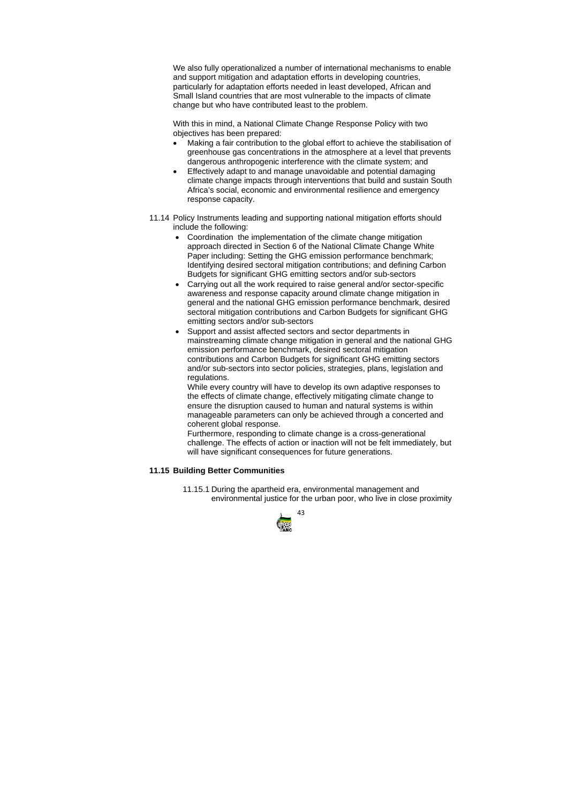

We also fully operationalized a number of international mechanisms to enable and support mitigation and adaptation efforts in developing countries, particularly for adaptation efforts needed in least developed, African and Small Island countries that are most vulnerable to the impacts of climate change but who have contributed least to the problem.

With this in mind, a National Climate Change Response Policy with two objectives has been prepared:

- Making a fair contribution to the global effort to achieve the stabilisation of greenhouse gas concentrations in the atmosphere at a level that prevents dangerous anthropogenic interference with the climate system; and
- Effectively adapt to and manage unavoidable and potential damaging climate change impacts through interventions that build and sustain South Africa's social, economic and environmental resilience and emergency response capacity.
- 11.14 Policy Instruments leading and supporting national mitigation efforts should include the following:
	- Coordination the implementation of the climate change mitigation approach directed in Section 6 of the National Climate Change White Paper including: Setting the GHG emission performance benchmark; Identifying desired sectoral mitigation contributions; and defining Carbon Budgets for significant GHG emitting sectors and/or sub-sectors
	- Carrying out all the work required to raise general and/or sector-specific awareness and response capacity around climate change mitigation in general and the national GHG emission performance benchmark, desired sectoral mitigation contributions and Carbon Budgets for significant GHG emitting sectors and/or sub-sectors
	- Support and assist affected sectors and sector departments in mainstreaming climate change mitigation in general and the national GHG emission performance benchmark, desired sectoral mitigation contributions and Carbon Budgets for significant GHG emitting sectors and/or sub-sectors into sector policies, strategies, plans, legislation and regulations.

While every country will have to develop its own adaptive responses to the effects of climate change, effectively mitigating climate change to ensure the disruption caused to human and natural systems is within manageable parameters can only be achieved through a concerted and coherent global response.

Furthermore, responding to climate change is a cross-generational challenge. The effects of action or inaction will not be felt immediately, but will have significant consequences for future generations.

# **11.15 Building Better Communities**

11.15.1 During the apartheid era, environmental management and environmental justice for the urban poor, who live in close proximity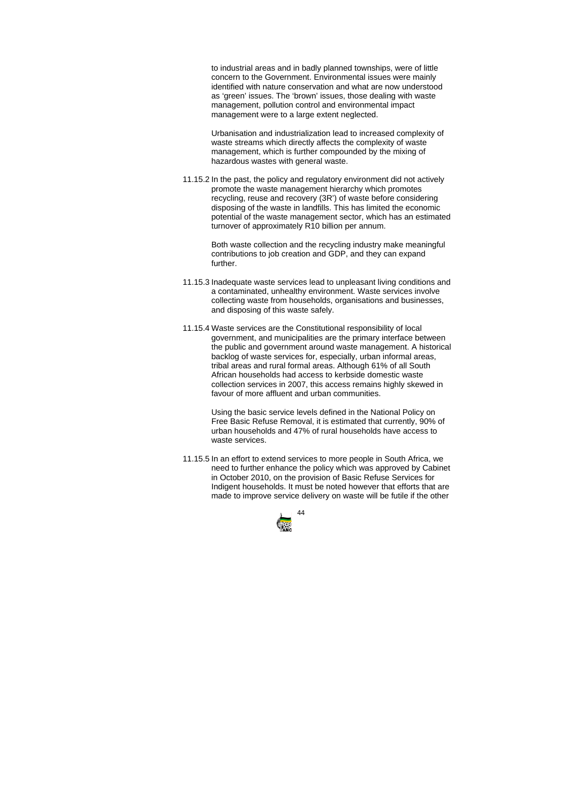

to industrial areas and in badly planned townships, were of little concern to the Government. Environmental issues were mainly identified with nature conservation and what are now understood as 'green' issues. The 'brown' issues, those dealing with waste management, pollution control and environmental impact management were to a large extent neglected.

Urbanisation and industrialization lead to increased complexity of waste streams which directly affects the complexity of waste management, which is further compounded by the mixing of hazardous wastes with general waste.

11.15.2 In the past, the policy and regulatory environment did not actively promote the waste management hierarchy which promotes recycling, reuse and recovery (3R') of waste before considering disposing of the waste in landfills. This has limited the economic potential of the waste management sector, which has an estimated turnover of approximately R10 billion per annum.

> Both waste collection and the recycling industry make meaningful contributions to job creation and GDP, and they can expand further.

- 11.15.3 Inadequate waste services lead to unpleasant living conditions and a contaminated, unhealthy environment. Waste services involve collecting waste from households, organisations and businesses, and disposing of this waste safely.
- 11.15.4 Waste services are the Constitutional responsibility of local government, and municipalities are the primary interface between the public and government around waste management. A historical backlog of waste services for, especially, urban informal areas, tribal areas and rural formal areas. Although 61% of all South African households had access to kerbside domestic waste collection services in 2007, this access remains highly skewed in favour of more affluent and urban communities.

Using the basic service levels defined in the National Policy on Free Basic Refuse Removal, it is estimated that currently, 90% of urban households and 47% of rural households have access to waste services.

11.15.5 In an effort to extend services to more people in South Africa, we need to further enhance the policy which was approved by Cabinet in October 2010, on the provision of Basic Refuse Services for Indigent households. It must be noted however that efforts that are made to improve service delivery on waste will be futile if the other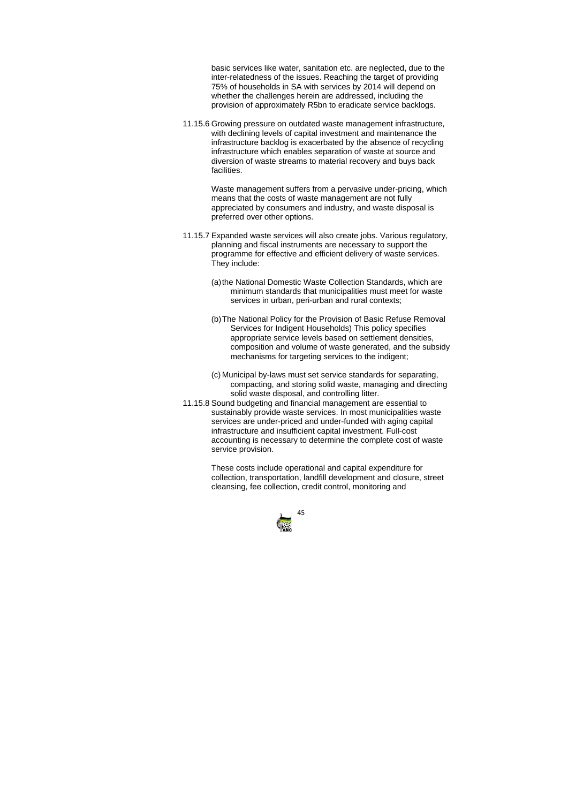

basic services like water, sanitation etc. are neglected, due to the inter-relatedness of the issues. Reaching the target of providing 75% of households in SA with services by 2014 will depend on whether the challenges herein are addressed, including the provision of approximately R5bn to eradicate service backlogs.

11.15.6 Growing pressure on outdated waste management infrastructure, with declining levels of capital investment and maintenance the infrastructure backlog is exacerbated by the absence of recycling infrastructure which enables separation of waste at source and diversion of waste streams to material recovery and buys back facilities.

> Waste management suffers from a pervasive under-pricing, which means that the costs of waste management are not fully appreciated by consumers and industry, and waste disposal is preferred over other options.

- 11.15.7 Expanded waste services will also create jobs. Various regulatory, planning and fiscal instruments are necessary to support the programme for effective and efficient delivery of waste services. They include:
	- (a) the National Domestic Waste Collection Standards, which are minimum standards that municipalities must meet for waste services in urban, peri-urban and rural contexts;
	- (b) The National Policy for the Provision of Basic Refuse Removal Services for Indigent Households) This policy specifies appropriate service levels based on settlement densities, composition and volume of waste generated, and the subsidy mechanisms for targeting services to the indigent;
	- (c) Municipal by-laws must set service standards for separating, compacting, and storing solid waste, managing and directing solid waste disposal, and controlling litter.
- 11.15.8 Sound budgeting and financial management are essential to sustainably provide waste services. In most municipalities waste services are under-priced and under-funded with aging capital infrastructure and insufficient capital investment. Full-cost accounting is necessary to determine the complete cost of waste service provision.

These costs include operational and capital expenditure for collection, transportation, landfill development and closure, street cleansing, fee collection, credit control, monitoring and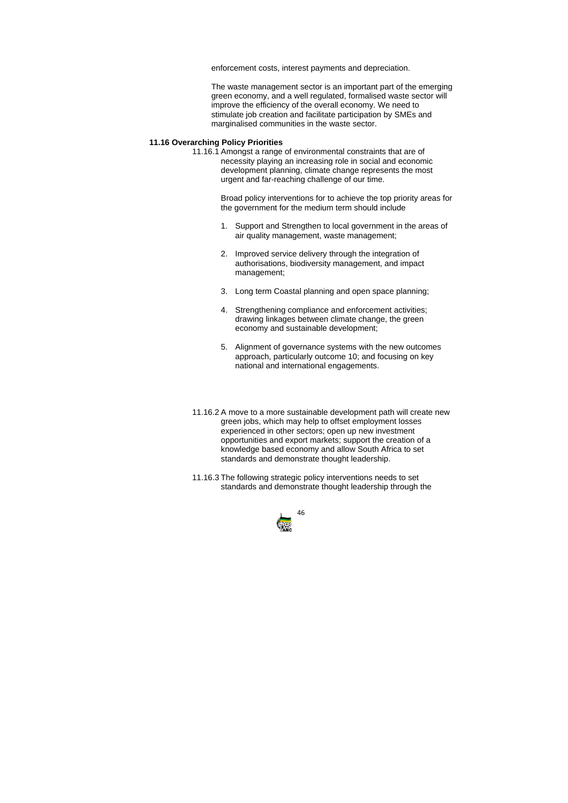

enforcement costs, interest payments and depreciation.

The waste management sector is an important part of the emerging green economy, and a well regulated, formalised waste sector will improve the efficiency of the overall economy. We need to stimulate job creation and facilitate participation by SMEs and marginalised communities in the waste sector.

# **11.16 Overarching Policy Priorities**

11.16.1 Amongst a range of environmental constraints that are of necessity playing an increasing role in social and economic development planning, climate change represents the most urgent and far-reaching challenge of our time.

> Broad policy interventions for to achieve the top priority areas for the government for the medium term should include

- 1. Support and Strengthen to local government in the areas of air quality management, waste management;
- 2. Improved service delivery through the integration of authorisations, biodiversity management, and impact management;
- 3. Long term Coastal planning and open space planning;
- 4. Strengthening compliance and enforcement activities; drawing linkages between climate change, the green economy and sustainable development;
- 5. Alignment of governance systems with the new outcomes approach, particularly outcome 10; and focusing on key national and international engagements.
- 11.16.2 A move to a more sustainable development path will create new green jobs, which may help to offset employment losses experienced in other sectors; open up new investment opportunities and export markets; support the creation of a knowledge based economy and allow South Africa to set standards and demonstrate thought leadership.
- 11.16.3 The following strategic policy interventions needs to set standards and demonstrate thought leadership through the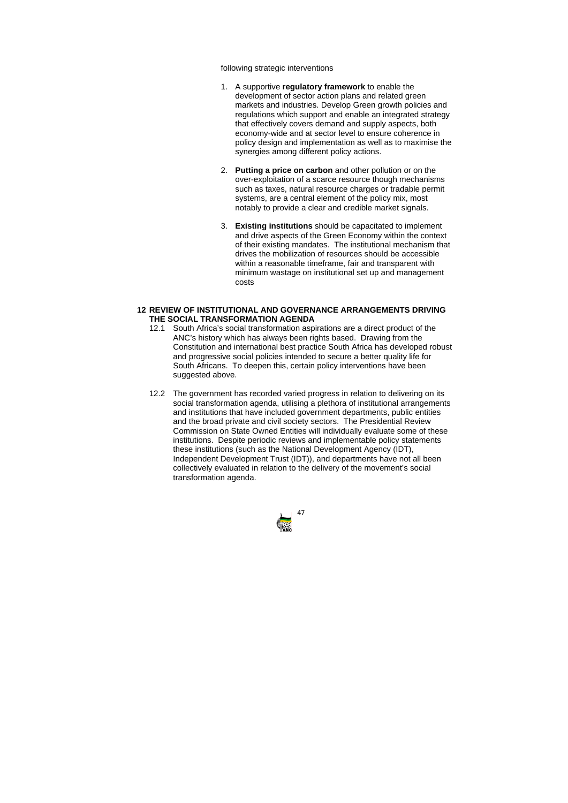

following strategic interventions

- 1. A supportive **regulatory framework** to enable the development of sector action plans and related green markets and industries. Develop Green growth policies and regulations which support and enable an integrated strategy that effectively covers demand and supply aspects, both economy-wide and at sector level to ensure coherence in policy design and implementation as well as to maximise the synergies among different policy actions.
- 2. **Putting a price on carbon** and other pollution or on the over-exploitation of a scarce resource though mechanisms such as taxes, natural resource charges or tradable permit systems, are a central element of the policy mix, most notably to provide a clear and credible market signals.
- 3. **Existing institutions** should be capacitated to implement and drive aspects of the Green Economy within the context of their existing mandates. The institutional mechanism that drives the mobilization of resources should be accessible within a reasonable timeframe, fair and transparent with minimum wastage on institutional set up and management costs

# **12 REVIEW OF INSTITUTIONAL AND GOVERNANCE ARRANGEMENTS DRIVING THE SOCIAL TRANSFORMATION AGENDA**

- 12.1 South Africa's social transformation aspirations are a direct product of the ANC's history which has always been rights based. Drawing from the Constitution and international best practice South Africa has developed robust and progressive social policies intended to secure a better quality life for South Africans. To deepen this, certain policy interventions have been suggested above.
- 12.2 The government has recorded varied progress in relation to delivering on its social transformation agenda, utilising a plethora of institutional arrangements and institutions that have included government departments, public entities and the broad private and civil society sectors. The Presidential Review Commission on State Owned Entities will individually evaluate some of these institutions. Despite periodic reviews and implementable policy statements these institutions (such as the National Development Agency (IDT), Independent Development Trust (IDT)), and departments have not all been collectively evaluated in relation to the delivery of the movement's social transformation agenda.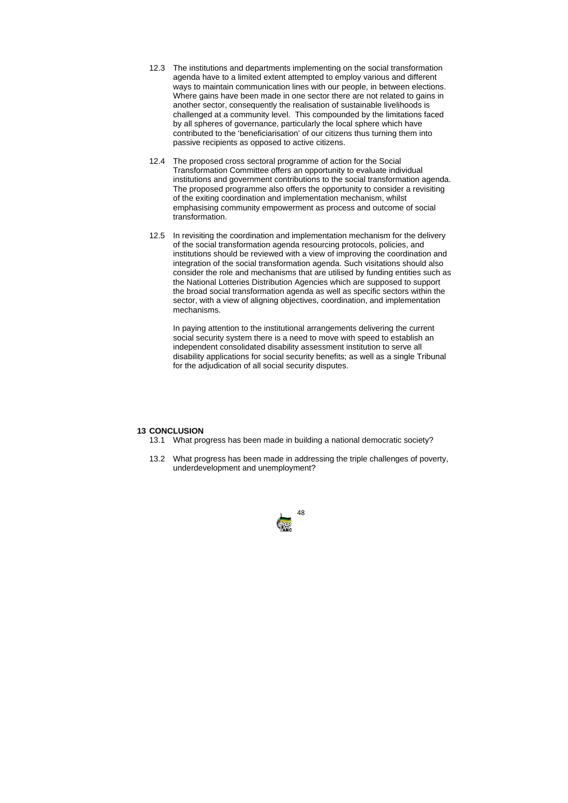

- 12.3 The institutions and departments implementing on the social transformation agenda have to a limited extent attempted to employ various and different ways to maintain communication lines with our people, in between elections. Where gains have been made in one sector there are not related to gains in another sector, consequently the realisation of sustainable livelihoods is challenged at a community level. This compounded by the limitations faced by all spheres of governance, particularly the local sphere which have contributed to the 'beneficiarisation' of our citizens thus turning them into passive recipients as opposed to active citizens.
- 12.4 The proposed cross sectoral programme of action for the Social Transformation Committee offers an opportunity to evaluate individual institutions and government contributions to the social transformation agenda. The proposed programme also offers the opportunity to consider a revisiting of the exiting coordination and implementation mechanism, whilst emphasising community empowerment as process and outcome of social transformation.
- 12.5 In revisiting the coordination and implementation mechanism for the delivery of the social transformation agenda resourcing protocols, policies, and institutions should be reviewed with a view of improving the coordination and integration of the social transformation agenda. Such visitations should also consider the role and mechanisms that are utilised by funding entities such as the National Lotteries Distribution Agencies which are supposed to support the broad social transformation agenda as well as specific sectors within the sector, with a view of aligning objectives, coordination, and implementation mechanisms.

In paying attention to the institutional arrangements delivering the current social security system there is a need to move with speed to establish an independent consolidated disability assessment institution to serve all disability applications for social security benefits; as well as a single Tribunal for the adjudication of all social security disputes.

#### **13 CONCLUSION**

- 13.1 What progress has been made in building a national democratic society?
- 13.2 What progress has been made in addressing the triple challenges of poverty, underdevelopment and unemployment?